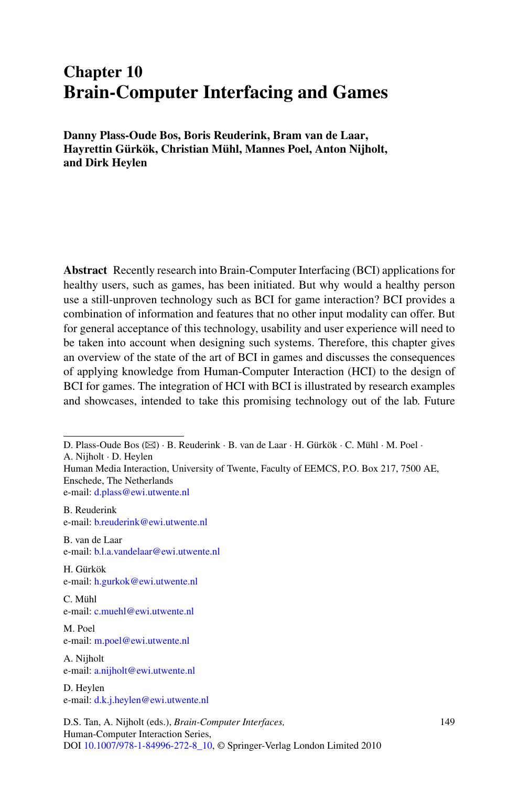# **Chapter 10 Brain-Computer Interfacing and Games**

**Danny Plass-Oude Bos, Boris Reuderink, Bram van de Laar, Hayrettin Gürkök, Christian Mühl, Mannes Poel, Anton Nijholt, and Dirk Heylen**

**Abstract** Recently research into Brain-Computer Interfacing (BCI) applications for healthy users, such as games, has been initiated. But why would a healthy person use a still-unproven technology such as BCI for game interaction? BCI provides a combination of information and features that no other input modality can offer. But for general acceptance of this technology, usability and user experience will need to be taken into account when designing such systems. Therefore, this chapter gives an overview of the state of the art of BCI in games and discusses the consequences of applying knowledge from Human-Computer Interaction (HCI) to the design of BCI for games. The integration of HCI with BCI is illustrated by research examples and showcases, intended to take this promising technology out of the lab. Future

A. Nijholt · D. Heylen

e-mail: [d.plass@ewi.utwente.nl](mailto:d.plass@ewi.utwente.nl)

B. Reuderink e-mail: [b.reuderink@ewi.utwente.nl](mailto:b.reuderink@ewi.utwente.nl)

B. van de Laar e-mail: [b.l.a.vandelaar@ewi.utwente.nl](mailto:b.l.a.vandelaar@ewi.utwente.nl)

H. Gürkök e-mail: [h.gurkok@ewi.utwente.nl](mailto:h.gurkok@ewi.utwente.nl)

C. Mühl e-mail: [c.muehl@ewi.utwente.nl](mailto:c.muehl@ewi.utwente.nl)

M. Poel e-mail: [m.poel@ewi.utwente.nl](mailto:m.poel@ewi.utwente.nl)

A. Nijholt e-mail: [a.nijholt@ewi.utwente.nl](mailto:a.nijholt@ewi.utwente.nl)

D. Heylen e-mail: [d.k.j.heylen@ewi.utwente.nl](mailto:d.k.j.heylen@ewi.utwente.nl)

D. Plass-Oude Bos (⊠) · B. Reuderink · B. van de Laar · H. Gürkök · C. Mühl · M. Poel ·

Human Media Interaction, University of Twente, Faculty of EEMCS, P.O. Box 217, 7500 AE, Enschede, The Netherlands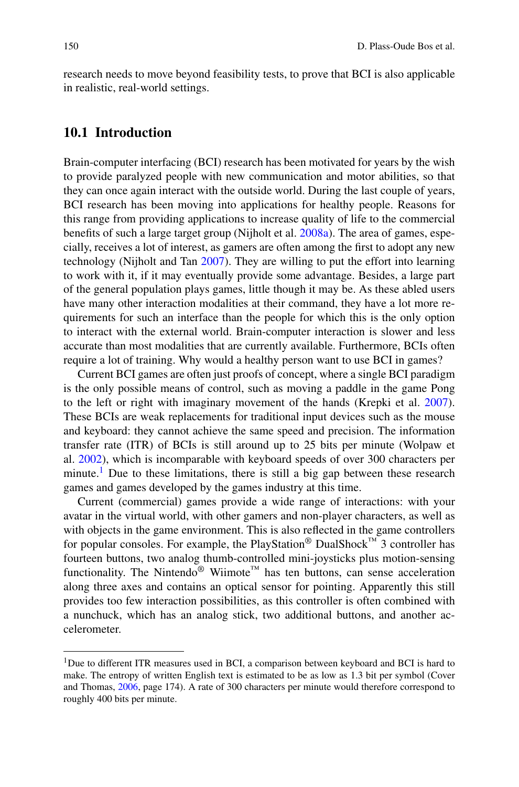<span id="page-1-0"></span>research needs to move beyond feasibility tests, to prove that BCI is also applicable in realistic, real-world settings.

## **10.1 Introduction**

Brain-computer interfacing (BCI) research has been motivated for years by the wish to provide paralyzed people with new communication and motor abilities, so that they can once again interact with the outside world. During the last couple of years, BCI research has been moving into applications for healthy people. Reasons for this range from providing applications to increase quality of life to the commercial benefits of such a large target group (Nijholt et al. [2008a](#page-27-0)). The area of games, especially, receives a lot of interest, as gamers are often among the first to adopt any new technology (Nijholt and Tan [2007](#page-27-0)). They are willing to put the effort into learning to work with it, if it may eventually provide some advantage. Besides, a large part of the general population plays games, little though it may be. As these abled users have many other interaction modalities at their command, they have a lot more requirements for such an interface than the people for which this is the only option to interact with the external world. Brain-computer interaction is slower and less accurate than most modalities that are currently available. Furthermore, BCIs often require a lot of training. Why would a healthy person want to use BCI in games?

Current BCI games are often just proofs of concept, where a single BCI paradigm is the only possible means of control, such as moving a paddle in the game Pong to the left or right with imaginary movement of the hands (Krepki et al. [2007\)](#page-26-0). These BCIs are weak replacements for traditional input devices such as the mouse and keyboard: they cannot achieve the same speed and precision. The information transfer rate (ITR) of BCIs is still around up to 25 bits per minute (Wolpaw et al. [2002](#page-28-0)), which is incomparable with keyboard speeds of over 300 characters per minute.<sup>1</sup> Due to these limitations, there is still a big gap between these research games and games developed by the games industry at this time.

Current (commercial) games provide a wide range of interactions: with your avatar in the virtual world, with other gamers and non-player characters, as well as with objects in the game environment. This is also reflected in the game controllers for popular consoles. For example, the PlayStation<sup>®</sup> DualShock<sup>™</sup> 3 controller has fourteen buttons, two analog thumb-controlled mini-joysticks plus motion-sensing functionality. The Nintendo<sup>®</sup> Wiimote<sup>™</sup> has ten buttons, can sense acceleration along three axes and contains an optical sensor for pointing. Apparently this still provides too few interaction possibilities, as this controller is often combined with a nunchuck, which has an analog stick, two additional buttons, and another accelerometer.

<sup>&</sup>lt;sup>1</sup>Due to different ITR measures used in BCI, a comparison between keyboard and BCI is hard to make. The entropy of written English text is estimated to be as low as 1.3 bit per symbol (Cover and Thomas, [2006,](#page-25-0) page 174). A rate of 300 characters per minute would therefore correspond to roughly 400 bits per minute.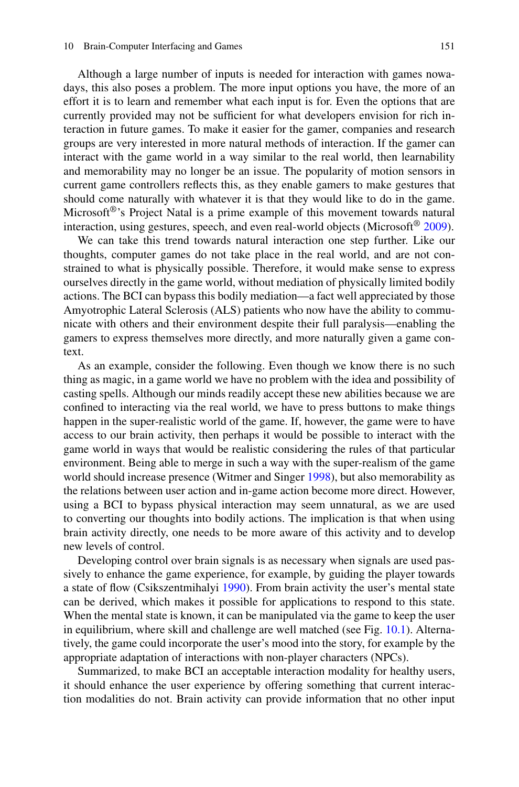Although a large number of inputs is needed for interaction with games nowadays, this also poses a problem. The more input options you have, the more of an effort it is to learn and remember what each input is for. Even the options that are currently provided may not be sufficient for what developers envision for rich interaction in future games. To make it easier for the gamer, companies and research groups are very interested in more natural methods of interaction. If the gamer can interact with the game world in a way similar to the real world, then learnability and memorability may no longer be an issue. The popularity of motion sensors in current game controllers reflects this, as they enable gamers to make gestures that should come naturally with whatever it is that they would like to do in the game. Microsoft<sup>®</sup>'s Project Natal is a prime example of this movement towards natural interaction, using gestures, speech, and even real-world objects (Microsoft® [2009\)](#page-26-0).

We can take this trend towards natural interaction one step further. Like our thoughts, computer games do not take place in the real world, and are not constrained to what is physically possible. Therefore, it would make sense to express ourselves directly in the game world, without mediation of physically limited bodily actions. The BCI can bypass this bodily mediation—a fact well appreciated by those Amyotrophic Lateral Sclerosis (ALS) patients who now have the ability to communicate with others and their environment despite their full paralysis—enabling the gamers to express themselves more directly, and more naturally given a game context.

As an example, consider the following. Even though we know there is no such thing as magic, in a game world we have no problem with the idea and possibility of casting spells. Although our minds readily accept these new abilities because we are confined to interacting via the real world, we have to press buttons to make things happen in the super-realistic world of the game. If, however, the game were to have access to our brain activity, then perhaps it would be possible to interact with the game world in ways that would be realistic considering the rules of that particular environment. Being able to merge in such a way with the super-realism of the game world should increase presence (Witmer and Singer [1998](#page-28-0)), but also memorability as the relations between user action and in-game action become more direct. However, using a BCI to bypass physical interaction may seem unnatural, as we are used to converting our thoughts into bodily actions. The implication is that when using brain activity directly, one needs to be more aware of this activity and to develop new levels of control.

Developing control over brain signals is as necessary when signals are used passively to enhance the game experience, for example, by guiding the player towards a state of flow (Csikszentmihalyi [1990](#page-25-0)). From brain activity the user's mental state can be derived, which makes it possible for applications to respond to this state. When the mental state is known, it can be manipulated via the game to keep the user in equilibrium, where skill and challenge are well matched (see Fig. [10.1\)](#page-3-0). Alternatively, the game could incorporate the user's mood into the story, for example by the appropriate adaptation of interactions with non-player characters (NPCs).

Summarized, to make BCI an acceptable interaction modality for healthy users, it should enhance the user experience by offering something that current interaction modalities do not. Brain activity can provide information that no other input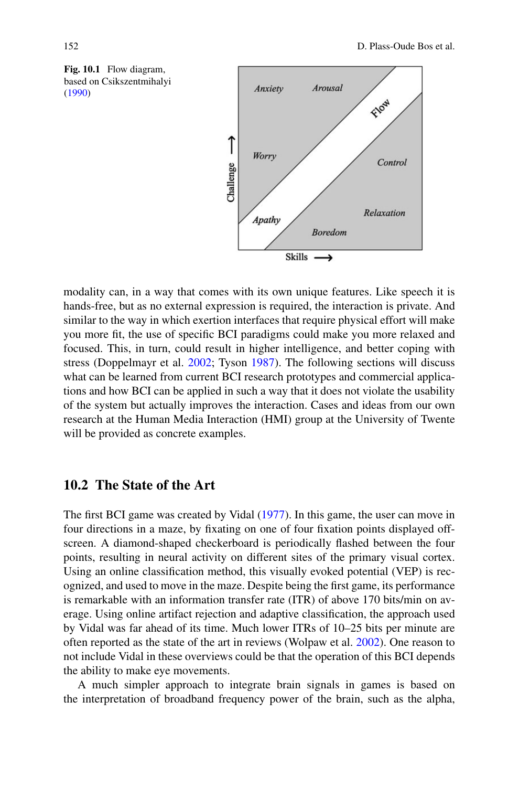<span id="page-3-0"></span>



modality can, in a way that comes with its own unique features. Like speech it is hands-free, but as no external expression is required, the interaction is private. And similar to the way in which exertion interfaces that require physical effort will make you more fit, the use of specific BCI paradigms could make you more relaxed and focused. This, in turn, could result in higher intelligence, and better coping with stress (Doppelmayr et al. [2002](#page-25-0); Tyson [1987\)](#page-28-0). The following sections will discuss what can be learned from current BCI research prototypes and commercial applications and how BCI can be applied in such a way that it does not violate the usability of the system but actually improves the interaction. Cases and ideas from our own research at the Human Media Interaction (HMI) group at the University of Twente will be provided as concrete examples.

## **10.2 The State of the Art**

The first BCI game was created by Vidal [\(1977](#page-28-0)). In this game, the user can move in four directions in a maze, by fixating on one of four fixation points displayed offscreen. A diamond-shaped checkerboard is periodically flashed between the four points, resulting in neural activity on different sites of the primary visual cortex. Using an online classification method, this visually evoked potential (VEP) is recognized, and used to move in the maze. Despite being the first game, its performance is remarkable with an information transfer rate (ITR) of above 170 bits/min on average. Using online artifact rejection and adaptive classification, the approach used by Vidal was far ahead of its time. Much lower ITRs of 10–25 bits per minute are often reported as the state of the art in reviews (Wolpaw et al. [2002\)](#page-28-0). One reason to not include Vidal in these overviews could be that the operation of this BCI depends the ability to make eye movements.

A much simpler approach to integrate brain signals in games is based on the interpretation of broadband frequency power of the brain, such as the alpha,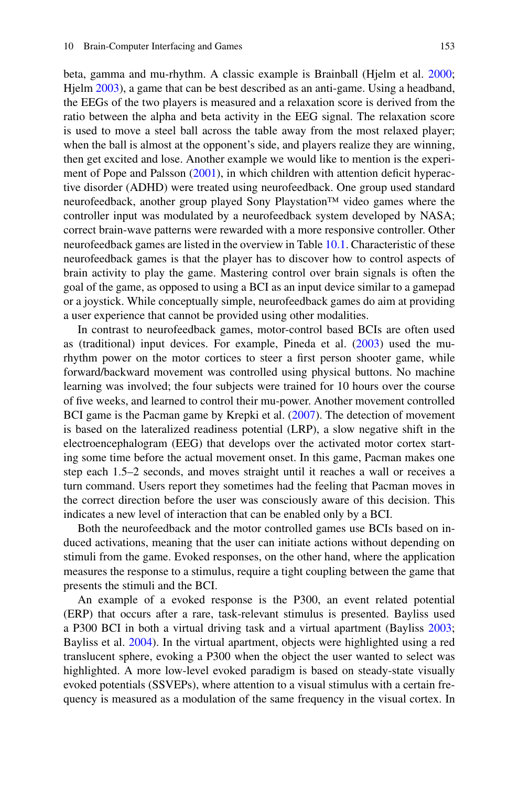beta, gamma and mu-rhythm. A classic example is Brainball (Hjelm et al. [2000;](#page-25-0) Hjelm [2003](#page-25-0)), a game that can be best described as an anti-game. Using a headband, the EEGs of the two players is measured and a relaxation score is derived from the ratio between the alpha and beta activity in the EEG signal. The relaxation score is used to move a steel ball across the table away from the most relaxed player; when the ball is almost at the opponent's side, and players realize they are winning, then get excited and lose. Another example we would like to mention is the experiment of Pope and Palsson ([2001\)](#page-27-0), in which children with attention deficit hyperactive disorder (ADHD) were treated using neurofeedback. One group used standard neurofeedback, another group played Sony Playstation™ video games where the controller input was modulated by a neurofeedback system developed by NASA; correct brain-wave patterns were rewarded with a more responsive controller. Other neurofeedback games are listed in the overview in Table [10.1.](#page-5-0) Characteristic of these neurofeedback games is that the player has to discover how to control aspects of brain activity to play the game. Mastering control over brain signals is often the goal of the game, as opposed to using a BCI as an input device similar to a gamepad or a joystick. While conceptually simple, neurofeedback games do aim at providing a user experience that cannot be provided using other modalities.

In contrast to neurofeedback games, motor-control based BCIs are often used as (traditional) input devices. For example, Pineda et al. ([2003\)](#page-27-0) used the murhythm power on the motor cortices to steer a first person shooter game, while forward/backward movement was controlled using physical buttons. No machine learning was involved; the four subjects were trained for 10 hours over the course of five weeks, and learned to control their mu-power. Another movement controlled BCI game is the Pacman game by Krepki et al. [\(2007](#page-26-0)). The detection of movement is based on the lateralized readiness potential (LRP), a slow negative shift in the electroencephalogram (EEG) that develops over the activated motor cortex starting some time before the actual movement onset. In this game, Pacman makes one step each 1.5–2 seconds, and moves straight until it reaches a wall or receives a turn command. Users report they sometimes had the feeling that Pacman moves in the correct direction before the user was consciously aware of this decision. This indicates a new level of interaction that can be enabled only by a BCI.

Both the neurofeedback and the motor controlled games use BCIs based on induced activations, meaning that the user can initiate actions without depending on stimuli from the game. Evoked responses, on the other hand, where the application measures the response to a stimulus, require a tight coupling between the game that presents the stimuli and the BCI.

An example of a evoked response is the P300, an event related potential (ERP) that occurs after a rare, task-relevant stimulus is presented. Bayliss used a P300 BCI in both a virtual driving task and a virtual apartment (Bayliss [2003;](#page-24-0) Bayliss et al. [2004\)](#page-24-0). In the virtual apartment, objects were highlighted using a red translucent sphere, evoking a P300 when the object the user wanted to select was highlighted. A more low-level evoked paradigm is based on steady-state visually evoked potentials (SSVEPs), where attention to a visual stimulus with a certain frequency is measured as a modulation of the same frequency in the visual cortex. In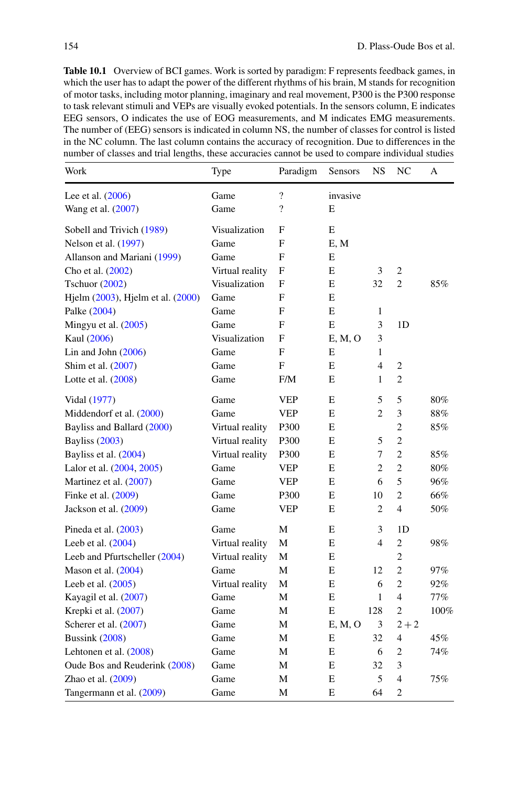<span id="page-5-0"></span>**Table 10.1** Overview of BCI games. Work is sorted by paradigm: F represents feedback games, in which the user has to adapt the power of the different rhythms of his brain, M stands for recognition of motor tasks, including motor planning, imaginary and real movement, P300 is the P300 response to task relevant stimuli and VEPs are visually evoked potentials. In the sensors column, E indicates EEG sensors, O indicates the use of EOG measurements, and M indicates EMG measurements. The number of (EEG) sensors is indicated in column NS, the number of classes for control is listed in the NC column. The last column contains the accuracy of recognition. Due to differences in the number of classes and trial lengths, these accuracies cannot be used to compare individual studies

| Work                              | Type            | Paradigm                 | Sensors  | NS             | NC             | A    |
|-----------------------------------|-----------------|--------------------------|----------|----------------|----------------|------|
| Lee et al. (2006)                 | Game            | $\overline{\mathcal{L}}$ | invasive |                |                |      |
| Wang et al. (2007)                | Game            | $\overline{\mathcal{L}}$ | E        |                |                |      |
| Sobell and Trivich (1989)         | Visualization   | F                        | E        |                |                |      |
| Nelson et al. (1997)              | Game            | F                        | E, M     |                |                |      |
| Allanson and Mariani (1999)       | Game            | F                        | E        |                |                |      |
| Cho et al. (2002)                 | Virtual reality | F                        | E        | 3              | $\overline{c}$ |      |
| Tschuor $(2002)$                  | Visualization   | F                        | E        | 32             | $\overline{2}$ | 85%  |
| Hjelm (2003), Hjelm et al. (2000) | Game            | F                        | E        |                |                |      |
| Palke (2004)                      | Game            | F                        | E        | 1              |                |      |
| Mingyu et al. (2005)              | Game            | F                        | E        | 3              | 1D             |      |
| Kaul (2006)                       | Visualization   | F                        | E, M, O  | 3              |                |      |
| Lin and John $(2006)$             | Game            | F                        | E        | $\mathbf{1}$   |                |      |
| Shim et al. (2007)                | Game            | F                        | E        | 4              | 2              |      |
| Lotte et al. $(2008)$             | Game            | F/M                      | E        | 1              | $\overline{c}$ |      |
| Vidal (1977)                      | Game            | <b>VEP</b>               | E        | 5              | 5              | 80%  |
| Middendorf et al. (2000)          | Game            | VEP                      | E        | $\overline{2}$ | 3              | 88%  |
| Bayliss and Ballard (2000)        | Virtual reality | P300                     | E        |                | $\overline{c}$ | 85%  |
| Bayliss (2003)                    | Virtual reality | P300                     | E        | 5              | $\overline{2}$ |      |
| Bayliss et al. (2004)             | Virtual reality | P300                     | Е        | 7              | $\overline{c}$ | 85%  |
| Lalor et al. (2004, 2005)         | Game            | <b>VEP</b>               | Е        | $\overline{c}$ | $\overline{c}$ | 80%  |
| Martinez et al. (2007)            | Game            | VEP                      | E        | 6              | 5              | 96%  |
| Finke et al. (2009)               | Game            | P300                     | E        | 10             | $\overline{c}$ | 66%  |
| Jackson et al. (2009)             | Game            | VEP                      | E        | $\overline{c}$ | $\overline{4}$ | 50%  |
| Pineda et al. $(2003)$            | Game            | М                        | Е        | 3              | 1 <sub>D</sub> |      |
| Leeb et al. (2004)                | Virtual reality | М                        | E        | 4              | $\overline{c}$ | 98%  |
| Leeb and Pfurtscheller (2004)     | Virtual reality | M                        | E        |                | $\overline{c}$ |      |
| Mason et al. $(2004)$             | Game            | М                        | E        | 12             | $\overline{c}$ | 97%  |
| Leeb et al. $(2005)$              | Virtual reality | М                        | E        | 6              | $\overline{2}$ | 92%  |
| Kayagil et al. (2007)             | Game            | М                        | E        | $\mathbf{1}$   | $\overline{4}$ | 77%  |
| Krepki et al. (2007)              | Game            | М                        | E        | 128            | 2              | 100% |
| Scherer et al. (2007)             | Game            | М                        | E, M, O  | 3              | $2 + 2$        |      |
| <b>Bussink</b> (2008)             | Game            | М                        | E        | 32             | 4              | 45%  |
| Lehtonen et al. (2008)            | Game            | М                        | E        | 6              | $\overline{2}$ | 74%  |
| Oude Bos and Reuderink (2008)     | Game            | М                        | E        | 32             | 3              |      |
| Zhao et al. (2009)                | Game            | М                        | E        | 5              | $\overline{4}$ | 75%  |
| Tangermann et al. (2009)          | Game            | М                        | E        | 64             | $\overline{2}$ |      |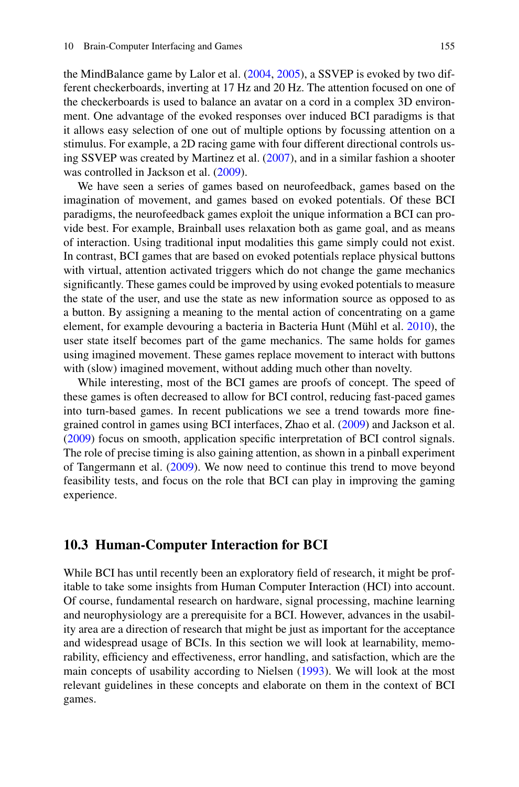the MindBalance game by Lalor et al. ([2004,](#page-26-0) [2005](#page-26-0)), a SSVEP is evoked by two different checkerboards, inverting at 17 Hz and 20 Hz. The attention focused on one of the checkerboards is used to balance an avatar on a cord in a complex 3D environment. One advantage of the evoked responses over induced BCI paradigms is that it allows easy selection of one out of multiple options by focussing attention on a stimulus. For example, a 2D racing game with four different directional controls using SSVEP was created by Martinez et al. ([2007\)](#page-26-0), and in a similar fashion a shooter was controlled in Jackson et al. [\(2009\)](#page-25-0).

We have seen a series of games based on neurofeedback, games based on the imagination of movement, and games based on evoked potentials. Of these BCI paradigms, the neurofeedback games exploit the unique information a BCI can provide best. For example, Brainball uses relaxation both as game goal, and as means of interaction. Using traditional input modalities this game simply could not exist. In contrast, BCI games that are based on evoked potentials replace physical buttons with virtual, attention activated triggers which do not change the game mechanics significantly. These games could be improved by using evoked potentials to measure the state of the user, and use the state as new information source as opposed to as a button. By assigning a meaning to the mental action of concentrating on a game element, for example devouring a bacteria in Bacteria Hunt (Mühl et al. [2010\)](#page-27-0), the user state itself becomes part of the game mechanics. The same holds for games using imagined movement. These games replace movement to interact with buttons with (slow) imagined movement, without adding much other than novelty.

While interesting, most of the BCI games are proofs of concept. The speed of these games is often decreased to allow for BCI control, reducing fast-paced games into turn-based games. In recent publications we see a trend towards more finegrained control in games using BCI interfaces, Zhao et al. ([2009\)](#page-29-0) and Jackson et al. [\(2009](#page-25-0)) focus on smooth, application specific interpretation of BCI control signals. The role of precise timing is also gaining attention, as shown in a pinball experiment of Tangermann et al. [\(2009](#page-28-0)). We now need to continue this trend to move beyond feasibility tests, and focus on the role that BCI can play in improving the gaming experience.

#### **10.3 Human-Computer Interaction for BCI**

While BCI has until recently been an exploratory field of research, it might be profitable to take some insights from Human Computer Interaction (HCI) into account. Of course, fundamental research on hardware, signal processing, machine learning and neurophysiology are a prerequisite for a BCI. However, advances in the usability area are a direction of research that might be just as important for the acceptance and widespread usage of BCIs. In this section we will look at learnability, memorability, efficiency and effectiveness, error handling, and satisfaction, which are the main concepts of usability according to Nielsen ([1993\)](#page-27-0). We will look at the most relevant guidelines in these concepts and elaborate on them in the context of BCI games.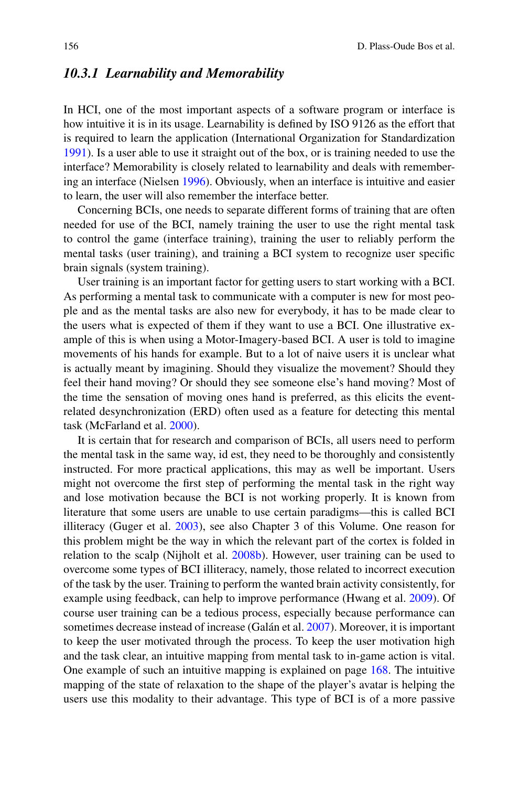## *10.3.1 Learnability and Memorability*

In HCI, one of the most important aspects of a software program or interface is how intuitive it is in its usage. Learnability is defined by ISO 9126 as the effort that is required to learn the application (International Organization for Standardization [1991\)](#page-25-0). Is a user able to use it straight out of the box, or is training needed to use the interface? Memorability is closely related to learnability and deals with remembering an interface (Nielsen [1996](#page-27-0)). Obviously, when an interface is intuitive and easier to learn, the user will also remember the interface better.

Concerning BCIs, one needs to separate different forms of training that are often needed for use of the BCI, namely training the user to use the right mental task to control the game (interface training), training the user to reliably perform the mental tasks (user training), and training a BCI system to recognize user specific brain signals (system training).

User training is an important factor for getting users to start working with a BCI. As performing a mental task to communicate with a computer is new for most people and as the mental tasks are also new for everybody, it has to be made clear to the users what is expected of them if they want to use a BCI. One illustrative example of this is when using a Motor-Imagery-based BCI. A user is told to imagine movements of his hands for example. But to a lot of naive users it is unclear what is actually meant by imagining. Should they visualize the movement? Should they feel their hand moving? Or should they see someone else's hand moving? Most of the time the sensation of moving ones hand is preferred, as this elicits the eventrelated desynchronization (ERD) often used as a feature for detecting this mental task (McFarland et al. [2000\)](#page-26-0).

It is certain that for research and comparison of BCIs, all users need to perform the mental task in the same way, id est, they need to be thoroughly and consistently instructed. For more practical applications, this may as well be important. Users might not overcome the first step of performing the mental task in the right way and lose motivation because the BCI is not working properly. It is known from literature that some users are unable to use certain paradigms—this is called BCI illiteracy (Guger et al. [2003](#page-25-0)), see also Chapter 3 of this Volume. One reason for this problem might be the way in which the relevant part of the cortex is folded in relation to the scalp (Nijholt et al. [2008b](#page-27-0)). However, user training can be used to overcome some types of BCI illiteracy, namely, those related to incorrect execution of the task by the user. Training to perform the wanted brain activity consistently, for example using feedback, can help to improve performance (Hwang et al. [2009\)](#page-25-0). Of course user training can be a tedious process, especially because performance can sometimes decrease instead of increase (Galán et al. [2007\)](#page-25-0). Moreover, it is important to keep the user motivated through the process. To keep the user motivation high and the task clear, an intuitive mapping from mental task to in-game action is vital. One example of such an intuitive mapping is explained on page [168.](#page-19-0) The intuitive mapping of the state of relaxation to the shape of the player's avatar is helping the users use this modality to their advantage. This type of BCI is of a more passive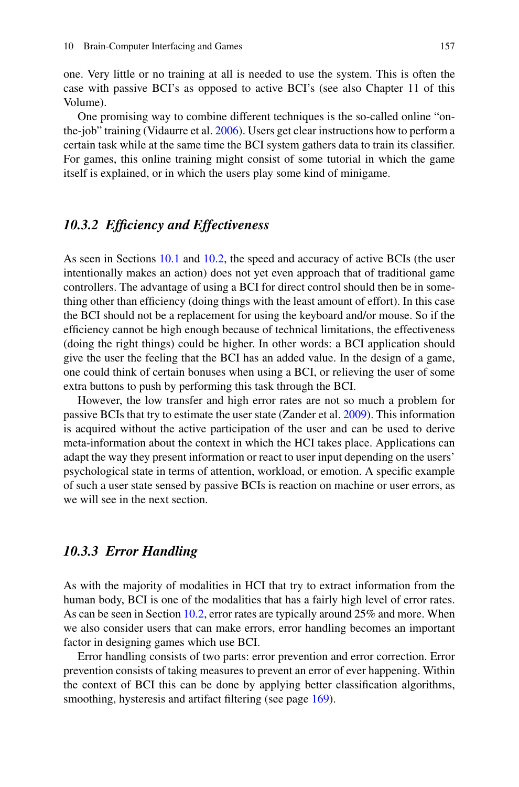one. Very little or no training at all is needed to use the system. This is often the case with passive BCI's as opposed to active BCI's (see also Chapter 11 of this Volume).

One promising way to combine different techniques is the so-called online "onthe-job" training (Vidaurre et al. [2006](#page-28-0)). Users get clear instructions how to perform a certain task while at the same time the BCI system gathers data to train its classifier. For games, this online training might consist of some tutorial in which the game itself is explained, or in which the users play some kind of minigame.

## *10.3.2 Efficiency and Effectiveness*

As seen in Sections [10.1](#page-1-0) and [10.2,](#page-3-0) the speed and accuracy of active BCIs (the user intentionally makes an action) does not yet even approach that of traditional game controllers. The advantage of using a BCI for direct control should then be in something other than efficiency (doing things with the least amount of effort). In this case the BCI should not be a replacement for using the keyboard and/or mouse. So if the efficiency cannot be high enough because of technical limitations, the effectiveness (doing the right things) could be higher. In other words: a BCI application should give the user the feeling that the BCI has an added value. In the design of a game, one could think of certain bonuses when using a BCI, or relieving the user of some extra buttons to push by performing this task through the BCI.

However, the low transfer and high error rates are not so much a problem for passive BCIs that try to estimate the user state (Zander et al. [2009\)](#page-28-0). This information is acquired without the active participation of the user and can be used to derive meta-information about the context in which the HCI takes place. Applications can adapt the way they present information or react to user input depending on the users' psychological state in terms of attention, workload, or emotion. A specific example of such a user state sensed by passive BCIs is reaction on machine or user errors, as we will see in the next section.

## *10.3.3 Error Handling*

As with the majority of modalities in HCI that try to extract information from the human body, BCI is one of the modalities that has a fairly high level of error rates. As can be seen in Section [10.2,](#page-3-0) error rates are typically around 25% and more. When we also consider users that can make errors, error handling becomes an important factor in designing games which use BCI.

Error handling consists of two parts: error prevention and error correction. Error prevention consists of taking measures to prevent an error of ever happening. Within the context of BCI this can be done by applying better classification algorithms, smoothing, hysteresis and artifact filtering (see page [169\)](#page-20-0).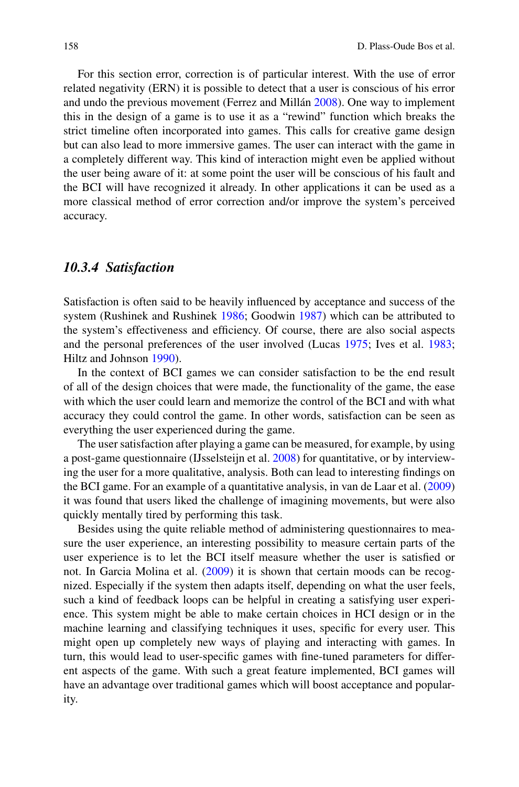For this section error, correction is of particular interest. With the use of error related negativity (ERN) it is possible to detect that a user is conscious of his error and undo the previous movement (Ferrez and Millán [2008](#page-25-0)). One way to implement this in the design of a game is to use it as a "rewind" function which breaks the strict timeline often incorporated into games. This calls for creative game design but can also lead to more immersive games. The user can interact with the game in a completely different way. This kind of interaction might even be applied without the user being aware of it: at some point the user will be conscious of his fault and the BCI will have recognized it already. In other applications it can be used as a more classical method of error correction and/or improve the system's perceived accuracy.

## *10.3.4 Satisfaction*

Satisfaction is often said to be heavily influenced by acceptance and success of the system (Rushinek and Rushinek [1986;](#page-27-0) Goodwin [1987](#page-25-0)) which can be attributed to the system's effectiveness and efficiency. Of course, there are also social aspects and the personal preferences of the user involved (Lucas [1975;](#page-26-0) Ives et al. [1983;](#page-25-0) Hiltz and Johnson [1990](#page-25-0)).

In the context of BCI games we can consider satisfaction to be the end result of all of the design choices that were made, the functionality of the game, the ease with which the user could learn and memorize the control of the BCI and with what accuracy they could control the game. In other words, satisfaction can be seen as everything the user experienced during the game.

The user satisfaction after playing a game can be measured, for example, by using a post-game questionnaire (IJsselsteijn et al. [2008\)](#page-25-0) for quantitative, or by interviewing the user for a more qualitative, analysis. Both can lead to interesting findings on the BCI game. For an example of a quantitative analysis, in van de Laar et al. [\(2009](#page-28-0)) it was found that users liked the challenge of imagining movements, but were also quickly mentally tired by performing this task.

Besides using the quite reliable method of administering questionnaires to measure the user experience, an interesting possibility to measure certain parts of the user experience is to let the BCI itself measure whether the user is satisfied or not. In Garcia Molina et al. [\(2009](#page-25-0)) it is shown that certain moods can be recognized. Especially if the system then adapts itself, depending on what the user feels, such a kind of feedback loops can be helpful in creating a satisfying user experience. This system might be able to make certain choices in HCI design or in the machine learning and classifying techniques it uses, specific for every user. This might open up completely new ways of playing and interacting with games. In turn, this would lead to user-specific games with fine-tuned parameters for different aspects of the game. With such a great feature implemented, BCI games will have an advantage over traditional games which will boost acceptance and popularity.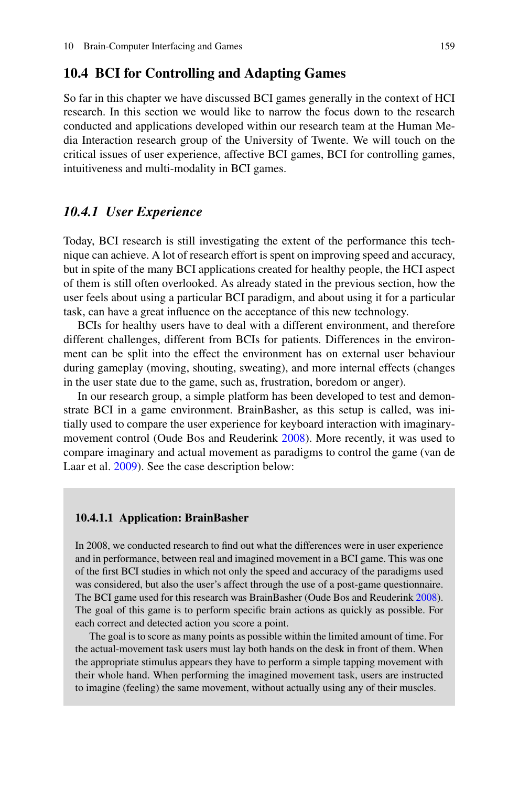## **10.4 BCI for Controlling and Adapting Games**

So far in this chapter we have discussed BCI games generally in the context of HCI research. In this section we would like to narrow the focus down to the research conducted and applications developed within our research team at the Human Media Interaction research group of the University of Twente. We will touch on the critical issues of user experience, affective BCI games, BCI for controlling games, intuitiveness and multi-modality in BCI games.

#### *10.4.1 User Experience*

Today, BCI research is still investigating the extent of the performance this technique can achieve. A lot of research effort is spent on improving speed and accuracy, but in spite of the many BCI applications created for healthy people, the HCI aspect of them is still often overlooked. As already stated in the previous section, how the user feels about using a particular BCI paradigm, and about using it for a particular task, can have a great influence on the acceptance of this new technology.

BCIs for healthy users have to deal with a different environment, and therefore different challenges, different from BCIs for patients. Differences in the environment can be split into the effect the environment has on external user behaviour during gameplay (moving, shouting, sweating), and more internal effects (changes in the user state due to the game, such as, frustration, boredom or anger).

In our research group, a simple platform has been developed to test and demonstrate BCI in a game environment. BrainBasher, as this setup is called, was initially used to compare the user experience for keyboard interaction with imaginarymovement control (Oude Bos and Reuderink [2008\)](#page-27-0). More recently, it was used to compare imaginary and actual movement as paradigms to control the game (van de Laar et al. [2009](#page-28-0)). See the case description below:

#### **10.4.1.1 Application: BrainBasher**

In 2008, we conducted research to find out what the differences were in user experience and in performance, between real and imagined movement in a BCI game. This was one of the first BCI studies in which not only the speed and accuracy of the paradigms used was considered, but also the user's affect through the use of a post-game questionnaire. The BCI game used for this research was BrainBasher (Oude Bos and Reuderink [2008](#page-27-0)). The goal of this game is to perform specific brain actions as quickly as possible. For each correct and detected action you score a point.

The goal is to score as many points as possible within the limited amount of time. For the actual-movement task users must lay both hands on the desk in front of them. When the appropriate stimulus appears they have to perform a simple tapping movement with their whole hand. When performing the imagined movement task, users are instructed to imagine (feeling) the same movement, without actually using any of their muscles.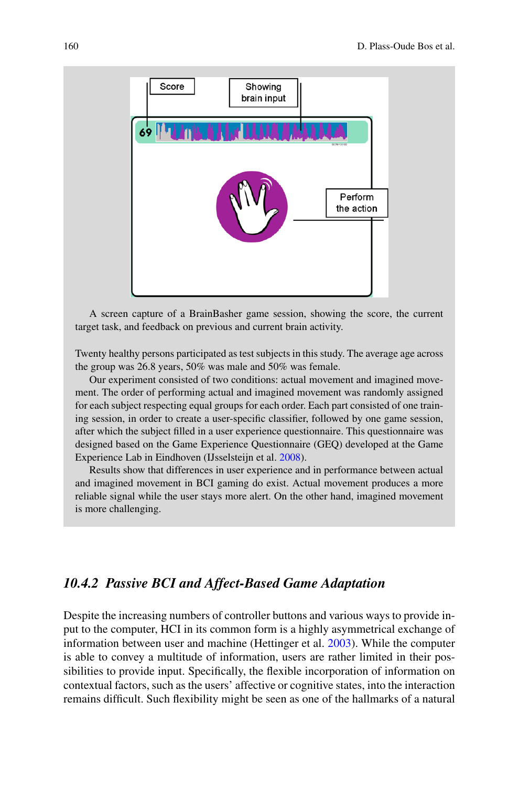

A screen capture of a BrainBasher game session, showing the score, the current target task, and feedback on previous and current brain activity.

Twenty healthy persons participated as test subjects in this study. The average age across the group was 26.8 years, 50% was male and 50% was female.

Our experiment consisted of two conditions: actual movement and imagined movement. The order of performing actual and imagined movement was randomly assigned for each subject respecting equal groups for each order. Each part consisted of one training session, in order to create a user-specific classifier, followed by one game session, after which the subject filled in a user experience questionnaire. This questionnaire was designed based on the Game Experience Questionnaire (GEQ) developed at the Game Experience Lab in Eindhoven (IJsselsteijn et al. [2008\)](#page-25-0).

Results show that differences in user experience and in performance between actual and imagined movement in BCI gaming do exist. Actual movement produces a more reliable signal while the user stays more alert. On the other hand, imagined movement is more challenging.

## *10.4.2 Passive BCI and Affect-Based Game Adaptation*

Despite the increasing numbers of controller buttons and various ways to provide input to the computer, HCI in its common form is a highly asymmetrical exchange of information between user and machine (Hettinger et al. [2003\)](#page-25-0). While the computer is able to convey a multitude of information, users are rather limited in their possibilities to provide input. Specifically, the flexible incorporation of information on contextual factors, such as the users' affective or cognitive states, into the interaction remains difficult. Such flexibility might be seen as one of the hallmarks of a natural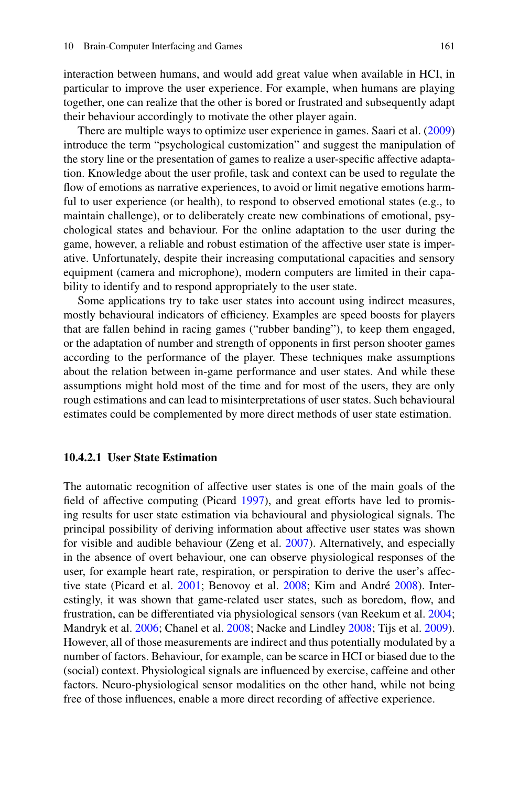interaction between humans, and would add great value when available in HCI, in particular to improve the user experience. For example, when humans are playing together, one can realize that the other is bored or frustrated and subsequently adapt their behaviour accordingly to motivate the other player again.

There are multiple ways to optimize user experience in games. Saari et al. [\(2009](#page-28-0)) introduce the term "psychological customization" and suggest the manipulation of the story line or the presentation of games to realize a user-specific affective adaptation. Knowledge about the user profile, task and context can be used to regulate the flow of emotions as narrative experiences, to avoid or limit negative emotions harmful to user experience (or health), to respond to observed emotional states (e.g., to maintain challenge), or to deliberately create new combinations of emotional, psychological states and behaviour. For the online adaptation to the user during the game, however, a reliable and robust estimation of the affective user state is imperative. Unfortunately, despite their increasing computational capacities and sensory equipment (camera and microphone), modern computers are limited in their capability to identify and to respond appropriately to the user state.

Some applications try to take user states into account using indirect measures, mostly behavioural indicators of efficiency. Examples are speed boosts for players that are fallen behind in racing games ("rubber banding"), to keep them engaged, or the adaptation of number and strength of opponents in first person shooter games according to the performance of the player. These techniques make assumptions about the relation between in-game performance and user states. And while these assumptions might hold most of the time and for most of the users, they are only rough estimations and can lead to misinterpretations of user states. Such behavioural estimates could be complemented by more direct methods of user state estimation.

#### **10.4.2.1 User State Estimation**

The automatic recognition of affective user states is one of the main goals of the field of affective computing (Picard [1997](#page-27-0)), and great efforts have led to promising results for user state estimation via behavioural and physiological signals. The principal possibility of deriving information about affective user states was shown for visible and audible behaviour (Zeng et al. [2007\)](#page-29-0). Alternatively, and especially in the absence of overt behaviour, one can observe physiological responses of the user, for example heart rate, respiration, or perspiration to derive the user's affective state (Picard et al. [2001](#page-27-0); Benovoy et al. [2008;](#page-24-0) Kim and André [2008](#page-25-0)). Interestingly, it was shown that game-related user states, such as boredom, flow, and frustration, can be differentiated via physiological sensors (van Reekum et al. [2004;](#page-28-0) Mandryk et al. [2006](#page-26-0); Chanel et al. [2008](#page-24-0); Nacke and Lindley [2008](#page-27-0); Tijs et al. [2009\)](#page-28-0). However, all of those measurements are indirect and thus potentially modulated by a number of factors. Behaviour, for example, can be scarce in HCI or biased due to the (social) context. Physiological signals are influenced by exercise, caffeine and other factors. Neuro-physiological sensor modalities on the other hand, while not being free of those influences, enable a more direct recording of affective experience.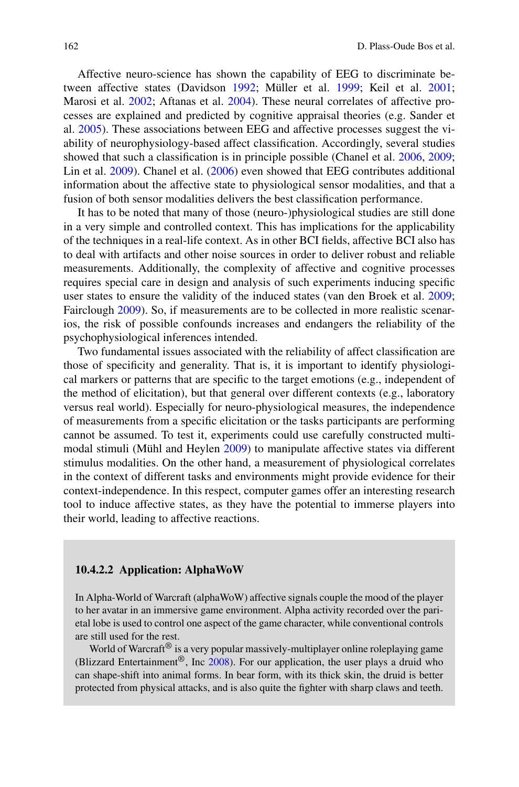Affective neuro-science has shown the capability of EEG to discriminate between affective states (Davidson [1992;](#page-25-0) Müller et al. [1999;](#page-27-0) Keil et al. [2001;](#page-25-0) Marosi et al. [2002;](#page-26-0) Aftanas et al. [2004\)](#page-24-0). These neural correlates of affective processes are explained and predicted by cognitive appraisal theories (e.g. Sander et al. [2005](#page-28-0)). These associations between EEG and affective processes suggest the viability of neurophysiology-based affect classification. Accordingly, several studies showed that such a classification is in principle possible (Chanel et al. [2006,](#page-24-0) [2009;](#page-24-0) Lin et al. [2009\)](#page-26-0). Chanel et al. [\(2006](#page-24-0)) even showed that EEG contributes additional information about the affective state to physiological sensor modalities, and that a fusion of both sensor modalities delivers the best classification performance.

It has to be noted that many of those (neuro-)physiological studies are still done in a very simple and controlled context. This has implications for the applicability of the techniques in a real-life context. As in other BCI fields, affective BCI also has to deal with artifacts and other noise sources in order to deliver robust and reliable measurements. Additionally, the complexity of affective and cognitive processes requires special care in design and analysis of such experiments inducing specific user states to ensure the validity of the induced states (van den Broek et al. [2009;](#page-28-0) Fairclough [2009\)](#page-25-0). So, if measurements are to be collected in more realistic scenarios, the risk of possible confounds increases and endangers the reliability of the psychophysiological inferences intended.

Two fundamental issues associated with the reliability of affect classification are those of specificity and generality. That is, it is important to identify physiological markers or patterns that are specific to the target emotions (e.g., independent of the method of elicitation), but that general over different contexts (e.g., laboratory versus real world). Especially for neuro-physiological measures, the independence of measurements from a specific elicitation or the tasks participants are performing cannot be assumed. To test it, experiments could use carefully constructed multimodal stimuli (Mühl and Heylen [2009](#page-27-0)) to manipulate affective states via different stimulus modalities. On the other hand, a measurement of physiological correlates in the context of different tasks and environments might provide evidence for their context-independence. In this respect, computer games offer an interesting research tool to induce affective states, as they have the potential to immerse players into their world, leading to affective reactions.

#### **10.4.2.2 Application: AlphaWoW**

In Alpha-World of Warcraft (alphaWoW) affective signals couple the mood of the player to her avatar in an immersive game environment. Alpha activity recorded over the parietal lobe is used to control one aspect of the game character, while conventional controls are still used for the rest.

World of Warcraft<sup>®</sup> is a very popular massively-multiplayer online roleplaying game (Blizzard Entertainment®, Inc [2008\)](#page-24-0). For our application, the user plays a druid who can shape-shift into animal forms. In bear form, with its thick skin, the druid is better protected from physical attacks, and is also quite the fighter with sharp claws and teeth.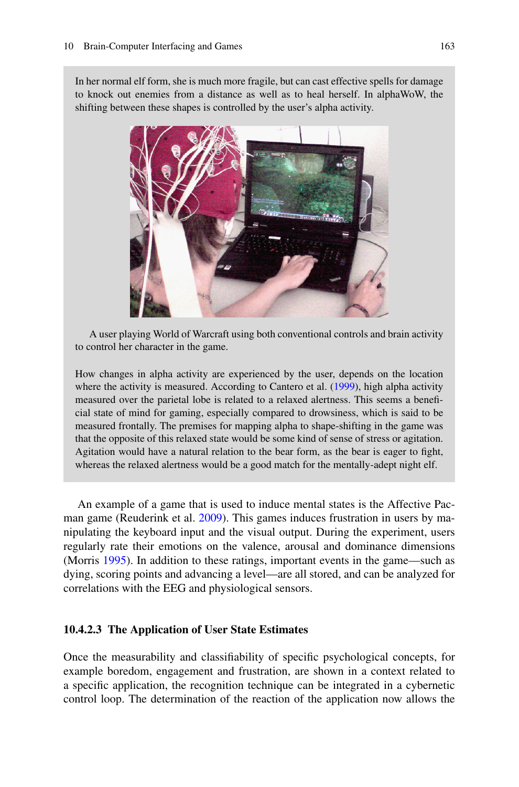In her normal elf form, she is much more fragile, but can cast effective spells for damage to knock out enemies from a distance as well as to heal herself. In alphaWoW, the shifting between these shapes is controlled by the user's alpha activity.



A user playing World of Warcraft using both conventional controls and brain activity to control her character in the game.

How changes in alpha activity are experienced by the user, depends on the location where the activity is measured. According to Cantero et al. ([1999\)](#page-24-0), high alpha activity measured over the parietal lobe is related to a relaxed alertness. This seems a beneficial state of mind for gaming, especially compared to drowsiness, which is said to be measured frontally. The premises for mapping alpha to shape-shifting in the game was that the opposite of this relaxed state would be some kind of sense of stress or agitation. Agitation would have a natural relation to the bear form, as the bear is eager to fight, whereas the relaxed alertness would be a good match for the mentally-adept night elf.

An example of a game that is used to induce mental states is the Affective Pacman game (Reuderink et al. [2009](#page-27-0)). This games induces frustration in users by manipulating the keyboard input and the visual output. During the experiment, users regularly rate their emotions on the valence, arousal and dominance dimensions (Morris [1995](#page-27-0)). In addition to these ratings, important events in the game—such as dying, scoring points and advancing a level—are all stored, and can be analyzed for correlations with the EEG and physiological sensors.

#### **10.4.2.3 The Application of User State Estimates**

Once the measurability and classifiability of specific psychological concepts, for example boredom, engagement and frustration, are shown in a context related to a specific application, the recognition technique can be integrated in a cybernetic control loop. The determination of the reaction of the application now allows the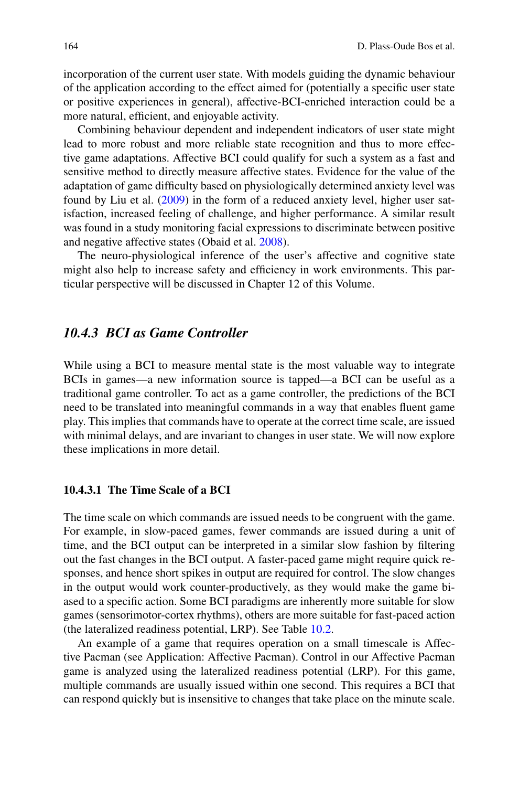incorporation of the current user state. With models guiding the dynamic behaviour of the application according to the effect aimed for (potentially a specific user state or positive experiences in general), affective-BCI-enriched interaction could be a more natural, efficient, and enjoyable activity.

Combining behaviour dependent and independent indicators of user state might lead to more robust and more reliable state recognition and thus to more effective game adaptations. Affective BCI could qualify for such a system as a fast and sensitive method to directly measure affective states. Evidence for the value of the adaptation of game difficulty based on physiologically determined anxiety level was found by Liu et al. ([2009\)](#page-26-0) in the form of a reduced anxiety level, higher user satisfaction, increased feeling of challenge, and higher performance. A similar result was found in a study monitoring facial expressions to discriminate between positive and negative affective states (Obaid et al. [2008\)](#page-27-0).

The neuro-physiological inference of the user's affective and cognitive state might also help to increase safety and efficiency in work environments. This particular perspective will be discussed in Chapter 12 of this Volume.

### *10.4.3 BCI as Game Controller*

While using a BCI to measure mental state is the most valuable way to integrate BCIs in games—a new information source is tapped—a BCI can be useful as a traditional game controller. To act as a game controller, the predictions of the BCI need to be translated into meaningful commands in a way that enables fluent game play. This implies that commands have to operate at the correct time scale, are issued with minimal delays, and are invariant to changes in user state. We will now explore these implications in more detail.

#### **10.4.3.1 The Time Scale of a BCI**

The time scale on which commands are issued needs to be congruent with the game. For example, in slow-paced games, fewer commands are issued during a unit of time, and the BCI output can be interpreted in a similar slow fashion by filtering out the fast changes in the BCI output. A faster-paced game might require quick responses, and hence short spikes in output are required for control. The slow changes in the output would work counter-productively, as they would make the game biased to a specific action. Some BCI paradigms are inherently more suitable for slow games (sensorimotor-cortex rhythms), others are more suitable for fast-paced action (the lateralized readiness potential, LRP). See Table [10.2](#page-16-0).

An example of a game that requires operation on a small timescale is Affective Pacman (see Application: Affective Pacman). Control in our Affective Pacman game is analyzed using the lateralized readiness potential (LRP). For this game, multiple commands are usually issued within one second. This requires a BCI that can respond quickly but is insensitive to changes that take place on the minute scale.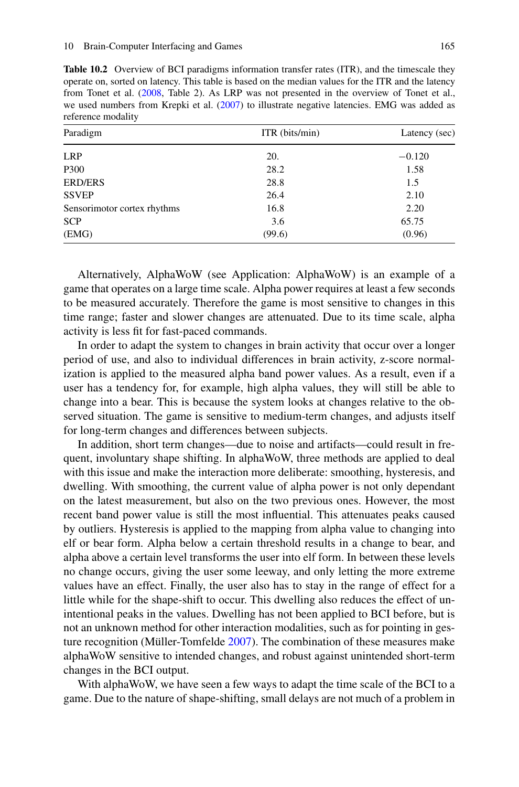<span id="page-16-0"></span>**Table 10.2** Overview of BCI paradigms information transfer rates (ITR), and the timescale they operate on, sorted on latency. This table is based on the median values for the ITR and the latency from Tonet et al. ([2008,](#page-28-0) Table 2). As LRP was not presented in the overview of Tonet et al., we used numbers from Krepki et al. ([2007](#page-26-0)) to illustrate negative latencies. EMG was added as reference modality

| Paradigm                    | ITR (bits/min) | Latency (sec) |  |
|-----------------------------|----------------|---------------|--|
| <b>LRP</b>                  | 20.            | $-0.120$      |  |
| P300                        | 28.2           | 1.58          |  |
| <b>ERD/ERS</b>              | 28.8           | 1.5           |  |
| <b>SSVEP</b>                | 26.4           | 2.10          |  |
| Sensorimotor cortex rhythms | 16.8           | 2.20          |  |
| <b>SCP</b>                  | 3.6            | 65.75         |  |
| (EMG)                       | (99.6)         | (0.96)        |  |

Alternatively, AlphaWoW (see Application: AlphaWoW) is an example of a game that operates on a large time scale. Alpha power requires at least a few seconds to be measured accurately. Therefore the game is most sensitive to changes in this time range; faster and slower changes are attenuated. Due to its time scale, alpha activity is less fit for fast-paced commands.

In order to adapt the system to changes in brain activity that occur over a longer period of use, and also to individual differences in brain activity, z-score normalization is applied to the measured alpha band power values. As a result, even if a user has a tendency for, for example, high alpha values, they will still be able to change into a bear. This is because the system looks at changes relative to the observed situation. The game is sensitive to medium-term changes, and adjusts itself for long-term changes and differences between subjects.

In addition, short term changes—due to noise and artifacts—could result in frequent, involuntary shape shifting. In alphaWoW, three methods are applied to deal with this issue and make the interaction more deliberate: smoothing, hysteresis, and dwelling. With smoothing, the current value of alpha power is not only dependant on the latest measurement, but also on the two previous ones. However, the most recent band power value is still the most influential. This attenuates peaks caused by outliers. Hysteresis is applied to the mapping from alpha value to changing into elf or bear form. Alpha below a certain threshold results in a change to bear, and alpha above a certain level transforms the user into elf form. In between these levels no change occurs, giving the user some leeway, and only letting the more extreme values have an effect. Finally, the user also has to stay in the range of effect for a little while for the shape-shift to occur. This dwelling also reduces the effect of unintentional peaks in the values. Dwelling has not been applied to BCI before, but is not an unknown method for other interaction modalities, such as for pointing in gesture recognition (Müller-Tomfelde [2007](#page-27-0)). The combination of these measures make alphaWoW sensitive to intended changes, and robust against unintended short-term changes in the BCI output.

With alphaWoW, we have seen a few ways to adapt the time scale of the BCI to a game. Due to the nature of shape-shifting, small delays are not much of a problem in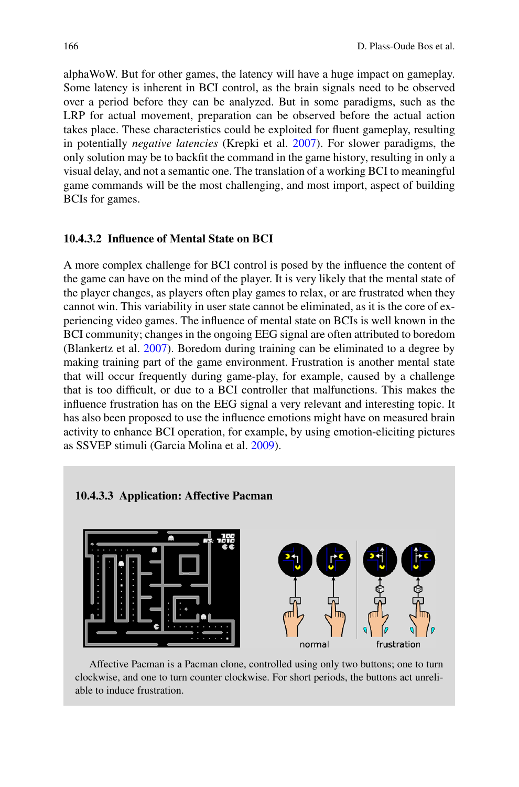alphaWoW. But for other games, the latency will have a huge impact on gameplay. Some latency is inherent in BCI control, as the brain signals need to be observed over a period before they can be analyzed. But in some paradigms, such as the LRP for actual movement, preparation can be observed before the actual action takes place. These characteristics could be exploited for fluent gameplay, resulting in potentially *negative latencies* (Krepki et al. [2007\)](#page-26-0). For slower paradigms, the only solution may be to backfit the command in the game history, resulting in only a visual delay, and not a semantic one. The translation of a working BCI to meaningful game commands will be the most challenging, and most import, aspect of building BCIs for games.

#### **10.4.3.2 Influence of Mental State on BCI**

A more complex challenge for BCI control is posed by the influence the content of the game can have on the mind of the player. It is very likely that the mental state of the player changes, as players often play games to relax, or are frustrated when they cannot win. This variability in user state cannot be eliminated, as it is the core of experiencing video games. The influence of mental state on BCIs is well known in the BCI community; changes in the ongoing EEG signal are often attributed to boredom (Blankertz et al. [2007\)](#page-24-0). Boredom during training can be eliminated to a degree by making training part of the game environment. Frustration is another mental state that will occur frequently during game-play, for example, caused by a challenge that is too difficult, or due to a BCI controller that malfunctions. This makes the influence frustration has on the EEG signal a very relevant and interesting topic. It has also been proposed to use the influence emotions might have on measured brain activity to enhance BCI operation, for example, by using emotion-eliciting pictures as SSVEP stimuli (Garcia Molina et al. [2009\)](#page-25-0).



Affective Pacman is a Pacman clone, controlled using only two buttons; one to turn clockwise, and one to turn counter clockwise. For short periods, the buttons act unreliable to induce frustration.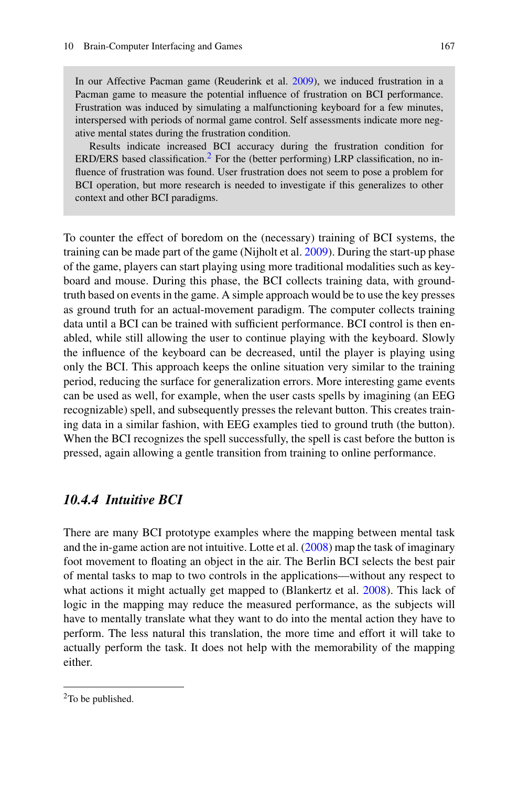In our Affective Pacman game (Reuderink et al. [2009\)](#page-27-0), we induced frustration in a Pacman game to measure the potential influence of frustration on BCI performance. Frustration was induced by simulating a malfunctioning keyboard for a few minutes, interspersed with periods of normal game control. Self assessments indicate more negative mental states during the frustration condition.

Results indicate increased BCI accuracy during the frustration condition for ERD/ERS based classification.<sup>2</sup> For the (better performing) LRP classification, no influence of frustration was found. User frustration does not seem to pose a problem for BCI operation, but more research is needed to investigate if this generalizes to other context and other BCI paradigms.

To counter the effect of boredom on the (necessary) training of BCI systems, the training can be made part of the game (Nijholt et al. [2009\)](#page-27-0). During the start-up phase of the game, players can start playing using more traditional modalities such as keyboard and mouse. During this phase, the BCI collects training data, with groundtruth based on events in the game. A simple approach would be to use the key presses as ground truth for an actual-movement paradigm. The computer collects training data until a BCI can be trained with sufficient performance. BCI control is then enabled, while still allowing the user to continue playing with the keyboard. Slowly the influence of the keyboard can be decreased, until the player is playing using only the BCI. This approach keeps the online situation very similar to the training period, reducing the surface for generalization errors. More interesting game events can be used as well, for example, when the user casts spells by imagining (an EEG recognizable) spell, and subsequently presses the relevant button. This creates training data in a similar fashion, with EEG examples tied to ground truth (the button). When the BCI recognizes the spell successfully, the spell is cast before the button is pressed, again allowing a gentle transition from training to online performance.

## *10.4.4 Intuitive BCI*

There are many BCI prototype examples where the mapping between mental task and the in-game action are not intuitive. Lotte et al. [\(2008](#page-26-0)) map the task of imaginary foot movement to floating an object in the air. The Berlin BCI selects the best pair of mental tasks to map to two controls in the applications—without any respect to what actions it might actually get mapped to (Blankertz et al. [2008](#page-24-0)). This lack of logic in the mapping may reduce the measured performance, as the subjects will have to mentally translate what they want to do into the mental action they have to perform. The less natural this translation, the more time and effort it will take to actually perform the task. It does not help with the memorability of the mapping either.

<sup>&</sup>lt;sup>2</sup>To be published.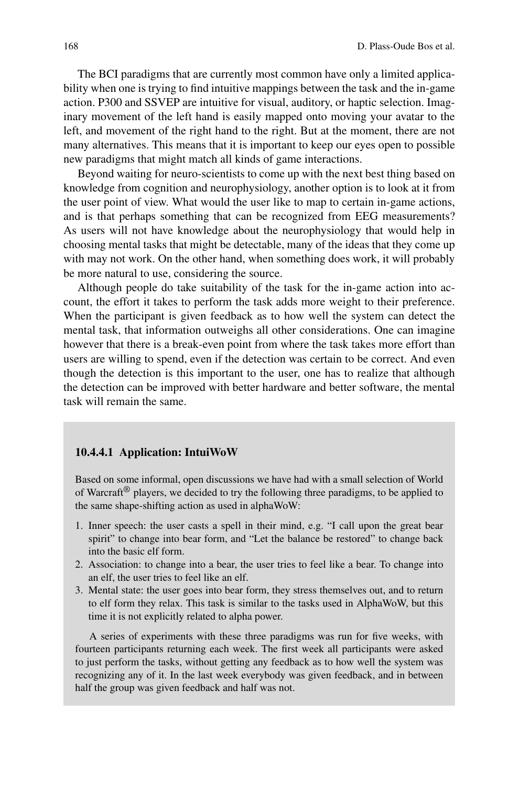<span id="page-19-0"></span>The BCI paradigms that are currently most common have only a limited applicability when one is trying to find intuitive mappings between the task and the in-game action. P300 and SSVEP are intuitive for visual, auditory, or haptic selection. Imaginary movement of the left hand is easily mapped onto moving your avatar to the left, and movement of the right hand to the right. But at the moment, there are not many alternatives. This means that it is important to keep our eyes open to possible new paradigms that might match all kinds of game interactions.

Beyond waiting for neuro-scientists to come up with the next best thing based on knowledge from cognition and neurophysiology, another option is to look at it from the user point of view. What would the user like to map to certain in-game actions, and is that perhaps something that can be recognized from EEG measurements? As users will not have knowledge about the neurophysiology that would help in choosing mental tasks that might be detectable, many of the ideas that they come up with may not work. On the other hand, when something does work, it will probably be more natural to use, considering the source.

Although people do take suitability of the task for the in-game action into account, the effort it takes to perform the task adds more weight to their preference. When the participant is given feedback as to how well the system can detect the mental task, that information outweighs all other considerations. One can imagine however that there is a break-even point from where the task takes more effort than users are willing to spend, even if the detection was certain to be correct. And even though the detection is this important to the user, one has to realize that although the detection can be improved with better hardware and better software, the mental task will remain the same.

#### **10.4.4.1 Application: IntuiWoW**

Based on some informal, open discussions we have had with a small selection of World of Warcraft® players, we decided to try the following three paradigms, to be applied to the same shape-shifting action as used in alphaWoW:

- 1. Inner speech: the user casts a spell in their mind, e.g. "I call upon the great bear spirit" to change into bear form, and "Let the balance be restored" to change back into the basic elf form.
- 2. Association: to change into a bear, the user tries to feel like a bear. To change into an elf, the user tries to feel like an elf.
- 3. Mental state: the user goes into bear form, they stress themselves out, and to return to elf form they relax. This task is similar to the tasks used in AlphaWoW, but this time it is not explicitly related to alpha power.

A series of experiments with these three paradigms was run for five weeks, with fourteen participants returning each week. The first week all participants were asked to just perform the tasks, without getting any feedback as to how well the system was recognizing any of it. In the last week everybody was given feedback, and in between half the group was given feedback and half was not.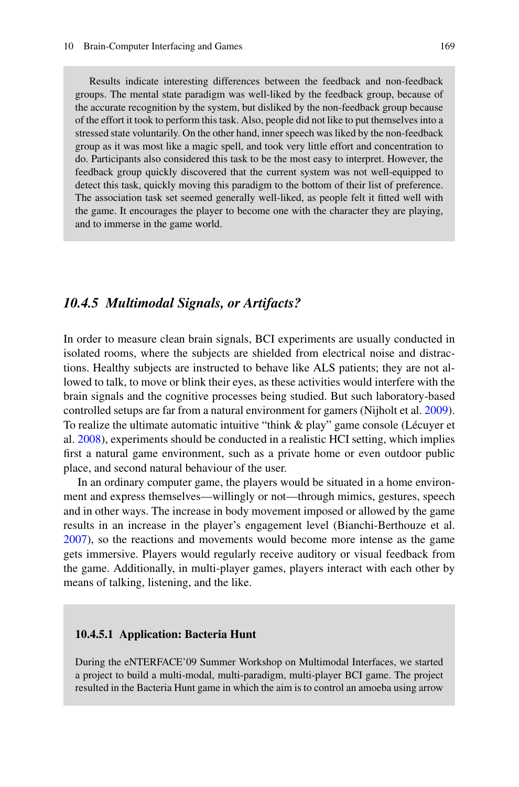<span id="page-20-0"></span>Results indicate interesting differences between the feedback and non-feedback groups. The mental state paradigm was well-liked by the feedback group, because of the accurate recognition by the system, but disliked by the non-feedback group because of the effort it took to perform this task. Also, people did not like to put themselves into a stressed state voluntarily. On the other hand, inner speech was liked by the non-feedback group as it was most like a magic spell, and took very little effort and concentration to do. Participants also considered this task to be the most easy to interpret. However, the feedback group quickly discovered that the current system was not well-equipped to detect this task, quickly moving this paradigm to the bottom of their list of preference. The association task set seemed generally well-liked, as people felt it fitted well with the game. It encourages the player to become one with the character they are playing, and to immerse in the game world.

## *10.4.5 Multimodal Signals, or Artifacts?*

In order to measure clean brain signals, BCI experiments are usually conducted in isolated rooms, where the subjects are shielded from electrical noise and distractions. Healthy subjects are instructed to behave like ALS patients; they are not allowed to talk, to move or blink their eyes, as these activities would interfere with the brain signals and the cognitive processes being studied. But such laboratory-based controlled setups are far from a natural environment for gamers (Nijholt et al. [2009\)](#page-27-0). To realize the ultimate automatic intuitive "think & play" game console (Lécuyer et al. [2008\)](#page-26-0), experiments should be conducted in a realistic HCI setting, which implies first a natural game environment, such as a private home or even outdoor public place, and second natural behaviour of the user.

In an ordinary computer game, the players would be situated in a home environment and express themselves—willingly or not—through mimics, gestures, speech and in other ways. The increase in body movement imposed or allowed by the game results in an increase in the player's engagement level (Bianchi-Berthouze et al. [2007\)](#page-24-0), so the reactions and movements would become more intense as the game gets immersive. Players would regularly receive auditory or visual feedback from the game. Additionally, in multi-player games, players interact with each other by means of talking, listening, and the like.

#### **10.4.5.1 Application: Bacteria Hunt**

During the eNTERFACE'09 Summer Workshop on Multimodal Interfaces, we started a project to build a multi-modal, multi-paradigm, multi-player BCI game. The project resulted in the Bacteria Hunt game in which the aim is to control an amoeba using arrow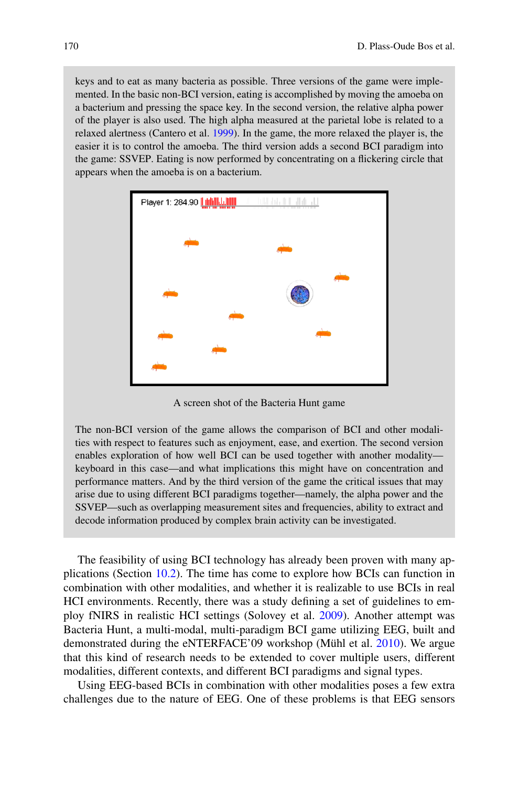keys and to eat as many bacteria as possible. Three versions of the game were implemented. In the basic non-BCI version, eating is accomplished by moving the amoeba on a bacterium and pressing the space key. In the second version, the relative alpha power of the player is also used. The high alpha measured at the parietal lobe is related to a relaxed alertness (Cantero et al. [1999\)](#page-24-0). In the game, the more relaxed the player is, the easier it is to control the amoeba. The third version adds a second BCI paradigm into the game: SSVEP. Eating is now performed by concentrating on a flickering circle that appears when the amoeba is on a bacterium.



A screen shot of the Bacteria Hunt game

The non-BCI version of the game allows the comparison of BCI and other modalities with respect to features such as enjoyment, ease, and exertion. The second version enables exploration of how well BCI can be used together with another modality keyboard in this case—and what implications this might have on concentration and performance matters. And by the third version of the game the critical issues that may arise due to using different BCI paradigms together—namely, the alpha power and the SSVEP—such as overlapping measurement sites and frequencies, ability to extract and decode information produced by complex brain activity can be investigated.

The feasibility of using BCI technology has already been proven with many applications (Section [10.2](#page-3-0)). The time has come to explore how BCIs can function in combination with other modalities, and whether it is realizable to use BCIs in real HCI environments. Recently, there was a study defining a set of guidelines to employ fNIRS in realistic HCI settings (Solovey et al. [2009](#page-28-0)). Another attempt was Bacteria Hunt, a multi-modal, multi-paradigm BCI game utilizing EEG, built and demonstrated during the eNTERFACE'09 workshop (Mühl et al. [2010\)](#page-27-0). We argue that this kind of research needs to be extended to cover multiple users, different modalities, different contexts, and different BCI paradigms and signal types.

Using EEG-based BCIs in combination with other modalities poses a few extra challenges due to the nature of EEG. One of these problems is that EEG sensors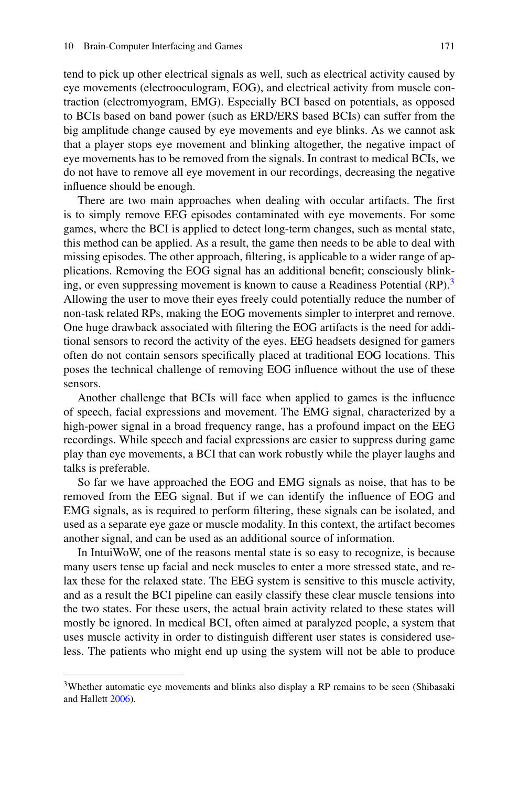tend to pick up other electrical signals as well, such as electrical activity caused by eye movements (electrooculogram, EOG), and electrical activity from muscle contraction (electromyogram, EMG). Especially BCI based on potentials, as opposed to BCIs based on band power (such as ERD/ERS based BCIs) can suffer from the big amplitude change caused by eye movements and eye blinks. As we cannot ask that a player stops eye movement and blinking altogether, the negative impact of eye movements has to be removed from the signals. In contrast to medical BCIs, we do not have to remove all eye movement in our recordings, decreasing the negative influence should be enough.

There are two main approaches when dealing with occular artifacts. The first is to simply remove EEG episodes contaminated with eye movements. For some games, where the BCI is applied to detect long-term changes, such as mental state, this method can be applied. As a result, the game then needs to be able to deal with missing episodes. The other approach, filtering, is applicable to a wider range of applications. Removing the EOG signal has an additional benefit; consciously blinking, or even suppressing movement is known to cause a Readiness Potential  $(RP)$ .<sup>3</sup> Allowing the user to move their eyes freely could potentially reduce the number of non-task related RPs, making the EOG movements simpler to interpret and remove. One huge drawback associated with filtering the EOG artifacts is the need for additional sensors to record the activity of the eyes. EEG headsets designed for gamers often do not contain sensors specifically placed at traditional EOG locations. This poses the technical challenge of removing EOG influence without the use of these sensors.

Another challenge that BCIs will face when applied to games is the influence of speech, facial expressions and movement. The EMG signal, characterized by a high-power signal in a broad frequency range, has a profound impact on the EEG recordings. While speech and facial expressions are easier to suppress during game play than eye movements, a BCI that can work robustly while the player laughs and talks is preferable.

So far we have approached the EOG and EMG signals as noise, that has to be removed from the EEG signal. But if we can identify the influence of EOG and EMG signals, as is required to perform filtering, these signals can be isolated, and used as a separate eye gaze or muscle modality. In this context, the artifact becomes another signal, and can be used as an additional source of information.

In IntuiWoW, one of the reasons mental state is so easy to recognize, is because many users tense up facial and neck muscles to enter a more stressed state, and relax these for the relaxed state. The EEG system is sensitive to this muscle activity, and as a result the BCI pipeline can easily classify these clear muscle tensions into the two states. For these users, the actual brain activity related to these states will mostly be ignored. In medical BCI, often aimed at paralyzed people, a system that uses muscle activity in order to distinguish different user states is considered useless. The patients who might end up using the system will not be able to produce

<sup>&</sup>lt;sup>3</sup>Whether automatic eye movements and blinks also display a RP remains to be seen (Shibasaki and Hallett [2006](#page-28-0)).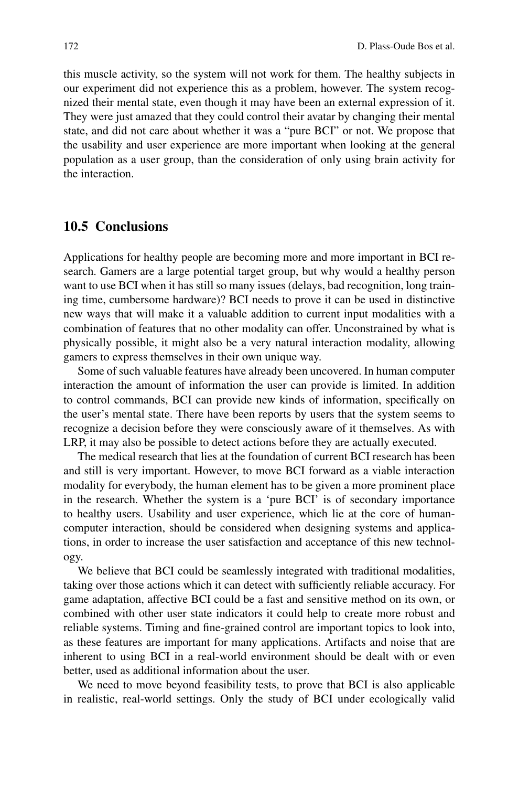this muscle activity, so the system will not work for them. The healthy subjects in our experiment did not experience this as a problem, however. The system recognized their mental state, even though it may have been an external expression of it. They were just amazed that they could control their avatar by changing their mental state, and did not care about whether it was a "pure BCI" or not. We propose that the usability and user experience are more important when looking at the general population as a user group, than the consideration of only using brain activity for the interaction.

### **10.5 Conclusions**

Applications for healthy people are becoming more and more important in BCI research. Gamers are a large potential target group, but why would a healthy person want to use BCI when it has still so many issues (delays, bad recognition, long training time, cumbersome hardware)? BCI needs to prove it can be used in distinctive new ways that will make it a valuable addition to current input modalities with a combination of features that no other modality can offer. Unconstrained by what is physically possible, it might also be a very natural interaction modality, allowing gamers to express themselves in their own unique way.

Some of such valuable features have already been uncovered. In human computer interaction the amount of information the user can provide is limited. In addition to control commands, BCI can provide new kinds of information, specifically on the user's mental state. There have been reports by users that the system seems to recognize a decision before they were consciously aware of it themselves. As with LRP, it may also be possible to detect actions before they are actually executed.

The medical research that lies at the foundation of current BCI research has been and still is very important. However, to move BCI forward as a viable interaction modality for everybody, the human element has to be given a more prominent place in the research. Whether the system is a 'pure BCI' is of secondary importance to healthy users. Usability and user experience, which lie at the core of humancomputer interaction, should be considered when designing systems and applications, in order to increase the user satisfaction and acceptance of this new technology.

We believe that BCI could be seamlessly integrated with traditional modalities, taking over those actions which it can detect with sufficiently reliable accuracy. For game adaptation, affective BCI could be a fast and sensitive method on its own, or combined with other user state indicators it could help to create more robust and reliable systems. Timing and fine-grained control are important topics to look into, as these features are important for many applications. Artifacts and noise that are inherent to using BCI in a real-world environment should be dealt with or even better, used as additional information about the user.

We need to move beyond feasibility tests, to prove that BCI is also applicable in realistic, real-world settings. Only the study of BCI under ecologically valid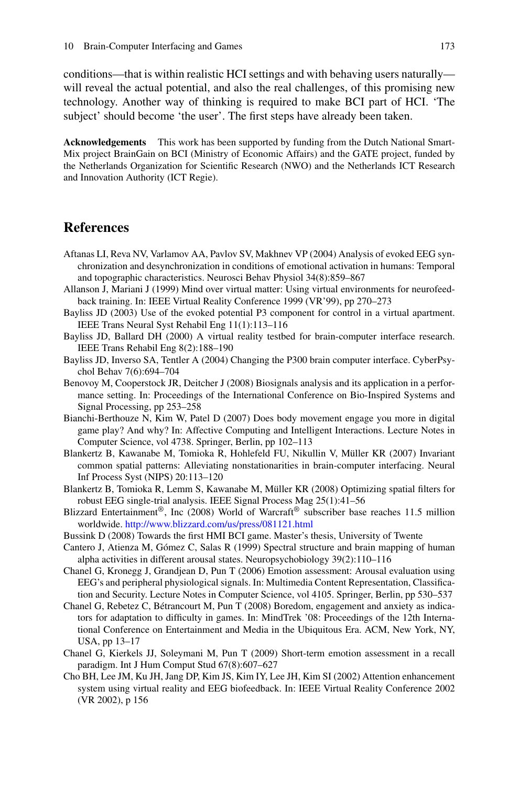<span id="page-24-0"></span>conditions—that is within realistic HCI settings and with behaving users naturally will reveal the actual potential, and also the real challenges, of this promising new technology. Another way of thinking is required to make BCI part of HCI. 'The subject' should become 'the user'. The first steps have already been taken.

**Acknowledgements** This work has been supported by funding from the Dutch National Smart-Mix project BrainGain on BCI (Ministry of Economic Affairs) and the GATE project, funded by the Netherlands Organization for Scientific Research (NWO) and the Netherlands ICT Research and Innovation Authority (ICT Regie).

## **References**

- Aftanas LI, Reva NV, Varlamov AA, Pavlov SV, Makhnev VP (2004) Analysis of evoked EEG synchronization and desynchronization in conditions of emotional activation in humans: Temporal and topographic characteristics. Neurosci Behav Physiol 34(8):859–867
- Allanson J, Mariani J (1999) Mind over virtual matter: Using virtual environments for neurofeedback training. In: IEEE Virtual Reality Conference 1999 (VR'99), pp 270–273
- Bayliss JD (2003) Use of the evoked potential P3 component for control in a virtual apartment. IEEE Trans Neural Syst Rehabil Eng 11(1):113–116
- Bayliss JD, Ballard DH (2000) A virtual reality testbed for brain-computer interface research. IEEE Trans Rehabil Eng 8(2):188–190
- Bayliss JD, Inverso SA, Tentler A (2004) Changing the P300 brain computer interface. CyberPsychol Behav 7(6):694–704
- Benovoy M, Cooperstock JR, Deitcher J (2008) Biosignals analysis and its application in a performance setting. In: Proceedings of the International Conference on Bio-Inspired Systems and Signal Processing, pp 253–258
- Bianchi-Berthouze N, Kim W, Patel D (2007) Does body movement engage you more in digital game play? And why? In: Affective Computing and Intelligent Interactions. Lecture Notes in Computer Science, vol 4738. Springer, Berlin, pp 102–113
- Blankertz B, Kawanabe M, Tomioka R, Hohlefeld FU, Nikullin V, Müller KR (2007) Invariant common spatial patterns: Alleviating nonstationarities in brain-computer interfacing. Neural Inf Process Syst (NIPS) 20:113–120
- Blankertz B, Tomioka R, Lemm S, Kawanabe M, Müller KR (2008) Optimizing spatial filters for robust EEG single-trial analysis. IEEE Signal Process Mag 25(1):41–56
- Blizzard Entertainment<sup>®</sup>, Inc (2008) World of Warcraft<sup>®</sup> subscriber base reaches 11.5 million worldwide. <http://www.blizzard.com/us/press/081121.html>
- Bussink D (2008) Towards the first HMI BCI game. Master's thesis, University of Twente
- Cantero J, Atienza M, Gómez C, Salas R (1999) Spectral structure and brain mapping of human alpha activities in different arousal states. Neuropsychobiology 39(2):110–116
- Chanel G, Kronegg J, Grandjean D, Pun T (2006) Emotion assessment: Arousal evaluation using EEG's and peripheral physiological signals. In: Multimedia Content Representation, Classification and Security. Lecture Notes in Computer Science, vol 4105. Springer, Berlin, pp 530–537
- Chanel G, Rebetez C, Bétrancourt M, Pun T (2008) Boredom, engagement and anxiety as indicators for adaptation to difficulty in games. In: MindTrek '08: Proceedings of the 12th International Conference on Entertainment and Media in the Ubiquitous Era. ACM, New York, NY, USA, pp 13–17
- Chanel G, Kierkels JJ, Soleymani M, Pun T (2009) Short-term emotion assessment in a recall paradigm. Int J Hum Comput Stud 67(8):607–627
- Cho BH, Lee JM, Ku JH, Jang DP, Kim JS, Kim IY, Lee JH, Kim SI (2002) Attention enhancement system using virtual reality and EEG biofeedback. In: IEEE Virtual Reality Conference 2002 (VR 2002), p 156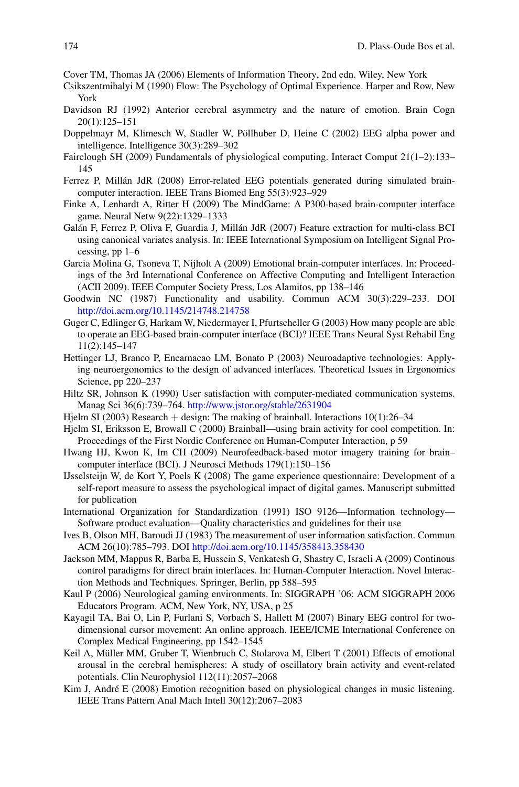<span id="page-25-0"></span>Cover TM, Thomas JA (2006) Elements of Information Theory, 2nd edn. Wiley, New York

- Csikszentmihalyi M (1990) Flow: The Psychology of Optimal Experience. Harper and Row, New York
- Davidson RJ (1992) Anterior cerebral asymmetry and the nature of emotion. Brain Cogn 20(1):125–151
- Doppelmayr M, Klimesch W, Stadler W, Pöllhuber D, Heine C (2002) EEG alpha power and intelligence. Intelligence 30(3):289–302
- Fairclough SH (2009) Fundamentals of physiological computing. Interact Comput 21(1–2):133– 145
- Ferrez P, Millán JdR (2008) Error-related EEG potentials generated during simulated braincomputer interaction. IEEE Trans Biomed Eng 55(3):923–929
- Finke A, Lenhardt A, Ritter H (2009) The MindGame: A P300-based brain-computer interface game. Neural Netw 9(22):1329–1333
- Galán F, Ferrez P, Oliva F, Guardia J, Millán JdR (2007) Feature extraction for multi-class BCI using canonical variates analysis. In: IEEE International Symposium on Intelligent Signal Processing, pp 1–6
- Garcia Molina G, Tsoneva T, Nijholt A (2009) Emotional brain-computer interfaces. In: Proceedings of the 3rd International Conference on Affective Computing and Intelligent Interaction (ACII 2009). IEEE Computer Society Press, Los Alamitos, pp 138–146
- Goodwin NC (1987) Functionality and usability. Commun ACM 30(3):229–233. DOI <http://doi.acm.org/10.1145/214748.214758>
- Guger C, Edlinger G, Harkam W, Niedermayer I, Pfurtscheller G (2003) How many people are able to operate an EEG-based brain-computer interface (BCI)? IEEE Trans Neural Syst Rehabil Eng 11(2):145–147
- Hettinger LJ, Branco P, Encarnacao LM, Bonato P (2003) Neuroadaptive technologies: Applying neuroergonomics to the design of advanced interfaces. Theoretical Issues in Ergonomics Science, pp 220–237
- Hiltz SR, Johnson K (1990) User satisfaction with computer-mediated communication systems. Manag Sci 36(6):739–764. <http://www.jstor.org/stable/2631904>
- Hjelm SI (2003) Research  $+$  design: The making of brainball. Interactions 10(1):26–34
- Hjelm SI, Eriksson E, Browall C (2000) Brainball—using brain activity for cool competition. In: Proceedings of the First Nordic Conference on Human-Computer Interaction, p 59
- Hwang HJ, Kwon K, Im CH (2009) Neurofeedback-based motor imagery training for brain– computer interface (BCI). J Neurosci Methods 179(1):150–156
- IJsselsteijn W, de Kort Y, Poels K (2008) The game experience questionnaire: Development of a self-report measure to assess the psychological impact of digital games. Manuscript submitted for publication
- International Organization for Standardization (1991) ISO 9126—Information technology— Software product evaluation—Quality characteristics and guidelines for their use
- Ives B, Olson MH, Baroudi JJ (1983) The measurement of user information satisfaction. Commun ACM 26(10):785–793. DOI <http://doi.acm.org/10.1145/358413.358430>
- Jackson MM, Mappus R, Barba E, Hussein S, Venkatesh G, Shastry C, Israeli A (2009) Continous control paradigms for direct brain interfaces. In: Human-Computer Interaction. Novel Interaction Methods and Techniques. Springer, Berlin, pp 588–595
- Kaul P (2006) Neurological gaming environments. In: SIGGRAPH '06: ACM SIGGRAPH 2006 Educators Program. ACM, New York, NY, USA, p 25
- Kayagil TA, Bai O, Lin P, Furlani S, Vorbach S, Hallett M (2007) Binary EEG control for twodimensional cursor movement: An online approach. IEEE/ICME International Conference on Complex Medical Engineering, pp 1542–1545
- Keil A, Müller MM, Gruber T, Wienbruch C, Stolarova M, Elbert T (2001) Effects of emotional arousal in the cerebral hemispheres: A study of oscillatory brain activity and event-related potentials. Clin Neurophysiol 112(11):2057–2068
- Kim J, André E (2008) Emotion recognition based on physiological changes in music listening. IEEE Trans Pattern Anal Mach Intell 30(12):2067–2083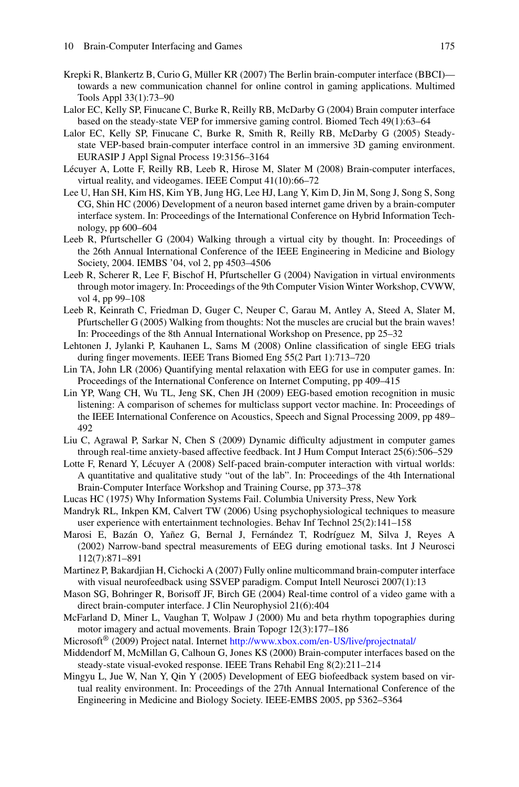- <span id="page-26-0"></span>Krepki R, Blankertz B, Curio G, Müller KR (2007) The Berlin brain-computer interface (BBCI) towards a new communication channel for online control in gaming applications. Multimed Tools Appl 33(1):73–90
- Lalor EC, Kelly SP, Finucane C, Burke R, Reilly RB, McDarby G (2004) Brain computer interface based on the steady-state VEP for immersive gaming control. Biomed Tech 49(1):63–64
- Lalor EC, Kelly SP, Finucane C, Burke R, Smith R, Reilly RB, McDarby G (2005) Steadystate VEP-based brain-computer interface control in an immersive 3D gaming environment. EURASIP J Appl Signal Process 19:3156–3164
- Lécuyer A, Lotte F, Reilly RB, Leeb R, Hirose M, Slater M (2008) Brain-computer interfaces, virtual reality, and videogames. IEEE Comput 41(10):66–72
- Lee U, Han SH, Kim HS, Kim YB, Jung HG, Lee HJ, Lang Y, Kim D, Jin M, Song J, Song S, Song CG, Shin HC (2006) Development of a neuron based internet game driven by a brain-computer interface system. In: Proceedings of the International Conference on Hybrid Information Technology, pp 600–604
- Leeb R, Pfurtscheller G (2004) Walking through a virtual city by thought. In: Proceedings of the 26th Annual International Conference of the IEEE Engineering in Medicine and Biology Society, 2004. IEMBS '04, vol 2, pp 4503–4506
- Leeb R, Scherer R, Lee F, Bischof H, Pfurtscheller G (2004) Navigation in virtual environments through motor imagery. In: Proceedings of the 9th Computer Vision Winter Workshop, CVWW, vol 4, pp 99–108
- Leeb R, Keinrath C, Friedman D, Guger C, Neuper C, Garau M, Antley A, Steed A, Slater M, Pfurtscheller G (2005) Walking from thoughts: Not the muscles are crucial but the brain waves! In: Proceedings of the 8th Annual International Workshop on Presence, pp 25–32
- Lehtonen J, Jylanki P, Kauhanen L, Sams M (2008) Online classification of single EEG trials during finger movements. IEEE Trans Biomed Eng 55(2 Part 1):713–720
- Lin TA, John LR (2006) Quantifying mental relaxation with EEG for use in computer games. In: Proceedings of the International Conference on Internet Computing, pp 409–415
- Lin YP, Wang CH, Wu TL, Jeng SK, Chen JH (2009) EEG-based emotion recognition in music listening: A comparison of schemes for multiclass support vector machine. In: Proceedings of the IEEE International Conference on Acoustics, Speech and Signal Processing 2009, pp 489– 492
- Liu C, Agrawal P, Sarkar N, Chen S (2009) Dynamic difficulty adjustment in computer games through real-time anxiety-based affective feedback. Int J Hum Comput Interact 25(6):506–529
- Lotte F, Renard Y, Lécuyer A (2008) Self-paced brain-computer interaction with virtual worlds: A quantitative and qualitative study "out of the lab". In: Proceedings of the 4th International Brain-Computer Interface Workshop and Training Course, pp 373–378
- Lucas HC (1975) Why Information Systems Fail. Columbia University Press, New York
- Mandryk RL, Inkpen KM, Calvert TW (2006) Using psychophysiological techniques to measure user experience with entertainment technologies. Behav Inf Technol 25(2):141–158
- Marosi E, Bazán O, Yañez G, Bernal J, Fernández T, Rodríguez M, Silva J, Reyes A (2002) Narrow-band spectral measurements of EEG during emotional tasks. Int J Neurosci 112(7):871–891
- Martinez P, Bakardjian H, Cichocki A (2007) Fully online multicommand brain-computer interface with visual neurofeedback using SSVEP paradigm. Comput Intell Neurosci 2007(1):13
- Mason SG, Bohringer R, Borisoff JF, Birch GE (2004) Real-time control of a video game with a direct brain-computer interface. J Clin Neurophysiol 21(6):404
- McFarland D, Miner L, Vaughan T, Wolpaw J (2000) Mu and beta rhythm topographies during motor imagery and actual movements. Brain Topogr 12(3):177–186
- Microsoft<sup>®</sup> (2009) Project natal. Internet <http://www.xbox.com/en-US/live/projectnatal/>
- Middendorf M, McMillan G, Calhoun G, Jones KS (2000) Brain-computer interfaces based on the steady-state visual-evoked response. IEEE Trans Rehabil Eng 8(2):211–214
- Mingyu L, Jue W, Nan Y, Qin Y (2005) Development of EEG biofeedback system based on virtual reality environment. In: Proceedings of the 27th Annual International Conference of the Engineering in Medicine and Biology Society. IEEE-EMBS 2005, pp 5362–5364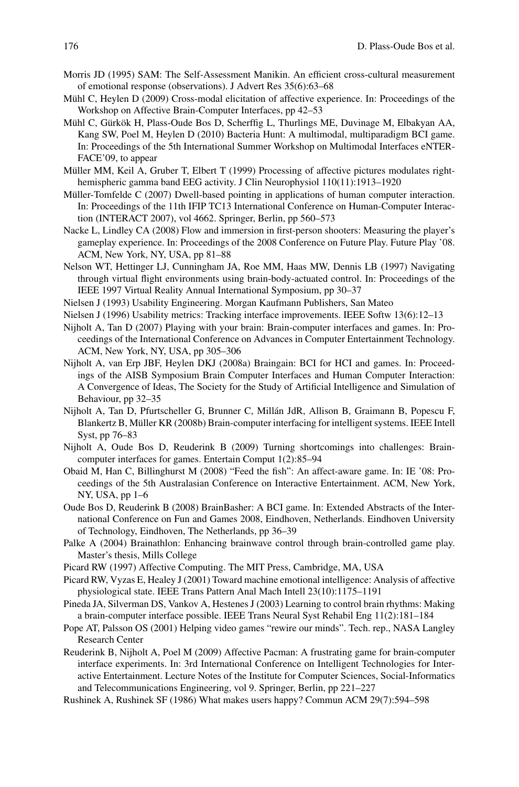- <span id="page-27-0"></span>Morris JD (1995) SAM: The Self-Assessment Manikin. An efficient cross-cultural measurement of emotional response (observations). J Advert Res 35(6):63–68
- Mühl C, Heylen D (2009) Cross-modal elicitation of affective experience. In: Proceedings of the Workshop on Affective Brain-Computer Interfaces, pp 42–53
- Mühl C, Gürkök H, Plass-Oude Bos D, Scherffig L, Thurlings ME, Duvinage M, Elbakyan AA, Kang SW, Poel M, Heylen D (2010) Bacteria Hunt: A multimodal, multiparadigm BCI game. In: Proceedings of the 5th International Summer Workshop on Multimodal Interfaces eNTER-FACE'09, to appear
- Müller MM, Keil A, Gruber T, Elbert T (1999) Processing of affective pictures modulates righthemispheric gamma band EEG activity. J Clin Neurophysiol 110(11):1913–1920
- Müller-Tomfelde C (2007) Dwell-based pointing in applications of human computer interaction. In: Proceedings of the 11th IFIP TC13 International Conference on Human-Computer Interaction (INTERACT 2007), vol 4662. Springer, Berlin, pp 560–573
- Nacke L, Lindley CA (2008) Flow and immersion in first-person shooters: Measuring the player's gameplay experience. In: Proceedings of the 2008 Conference on Future Play. Future Play '08. ACM, New York, NY, USA, pp 81–88
- Nelson WT, Hettinger LJ, Cunningham JA, Roe MM, Haas MW, Dennis LB (1997) Navigating through virtual flight environments using brain-body-actuated control. In: Proceedings of the IEEE 1997 Virtual Reality Annual International Symposium, pp 30–37
- Nielsen J (1993) Usability Engineering. Morgan Kaufmann Publishers, San Mateo
- Nielsen J (1996) Usability metrics: Tracking interface improvements. IEEE Softw 13(6):12–13
- Nijholt A, Tan D (2007) Playing with your brain: Brain-computer interfaces and games. In: Proceedings of the International Conference on Advances in Computer Entertainment Technology. ACM, New York, NY, USA, pp 305–306
- Nijholt A, van Erp JBF, Heylen DKJ (2008a) Braingain: BCI for HCI and games. In: Proceedings of the AISB Symposium Brain Computer Interfaces and Human Computer Interaction: A Convergence of Ideas, The Society for the Study of Artificial Intelligence and Simulation of Behaviour, pp 32–35
- Nijholt A, Tan D, Pfurtscheller G, Brunner C, Millán JdR, Allison B, Graimann B, Popescu F, Blankertz B, Müller KR (2008b) Brain-computer interfacing for intelligent systems. IEEE Intell Syst, pp 76–83
- Nijholt A, Oude Bos D, Reuderink B (2009) Turning shortcomings into challenges: Braincomputer interfaces for games. Entertain Comput 1(2):85–94
- Obaid M, Han C, Billinghurst M (2008) "Feed the fish": An affect-aware game. In: IE '08: Proceedings of the 5th Australasian Conference on Interactive Entertainment. ACM, New York, NY, USA, pp 1–6
- Oude Bos D, Reuderink B (2008) BrainBasher: A BCI game. In: Extended Abstracts of the International Conference on Fun and Games 2008, Eindhoven, Netherlands. Eindhoven University of Technology, Eindhoven, The Netherlands, pp 36–39
- Palke A (2004) Brainathlon: Enhancing brainwave control through brain-controlled game play. Master's thesis, Mills College
- Picard RW (1997) Affective Computing. The MIT Press, Cambridge, MA, USA
- Picard RW, Vyzas E, Healey J (2001) Toward machine emotional intelligence: Analysis of affective physiological state. IEEE Trans Pattern Anal Mach Intell 23(10):1175–1191
- Pineda JA, Silverman DS, Vankov A, Hestenes J (2003) Learning to control brain rhythms: Making a brain-computer interface possible. IEEE Trans Neural Syst Rehabil Eng 11(2):181–184
- Pope AT, Palsson OS (2001) Helping video games "rewire our minds". Tech. rep., NASA Langley Research Center
- Reuderink B, Nijholt A, Poel M (2009) Affective Pacman: A frustrating game for brain-computer interface experiments. In: 3rd International Conference on Intelligent Technologies for Interactive Entertainment. Lecture Notes of the Institute for Computer Sciences, Social-Informatics and Telecommunications Engineering, vol 9. Springer, Berlin, pp 221–227
- Rushinek A, Rushinek SF (1986) What makes users happy? Commun ACM 29(7):594–598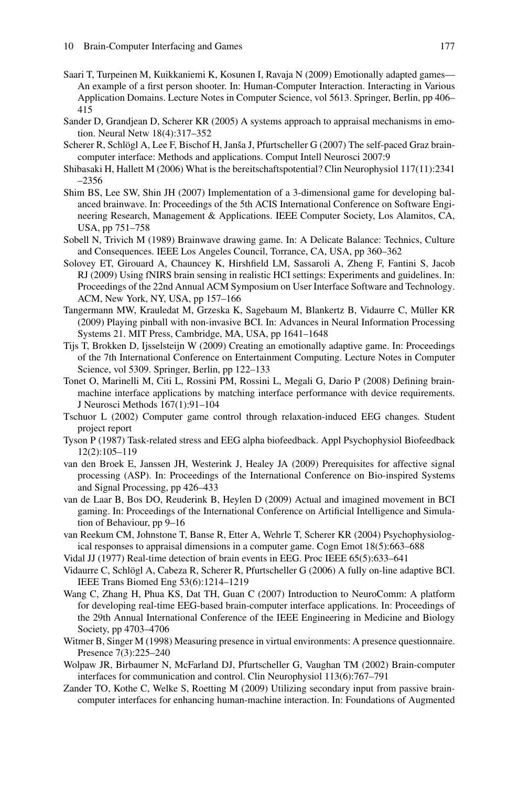- <span id="page-28-0"></span>Saari T, Turpeinen M, Kuikkaniemi K, Kosunen I, Ravaja N (2009) Emotionally adapted games— An example of a first person shooter. In: Human-Computer Interaction. Interacting in Various Application Domains. Lecture Notes in Computer Science, vol 5613. Springer, Berlin, pp 406– 415
- Sander D, Grandjean D, Scherer KR (2005) A systems approach to appraisal mechanisms in emotion. Neural Netw 18(4):317–352
- Scherer R, Schlögl A, Lee F, Bischof H, Janša J, Pfurtscheller G (2007) The self-paced Graz braincomputer interface: Methods and applications. Comput Intell Neurosci 2007:9
- Shibasaki H, Hallett M (2006) What is the bereitschaftspotential? Clin Neurophysiol 117(11):2341 –2356
- Shim BS, Lee SW, Shin JH (2007) Implementation of a 3-dimensional game for developing balanced brainwave. In: Proceedings of the 5th ACIS International Conference on Software Engineering Research, Management & Applications. IEEE Computer Society, Los Alamitos, CA, USA, pp 751–758
- Sobell N, Trivich M (1989) Brainwave drawing game. In: A Delicate Balance: Technics, Culture and Consequences. IEEE Los Angeles Council, Torrance, CA, USA, pp 360–362
- Solovey ET, Girouard A, Chauncey K, Hirshfield LM, Sassaroli A, Zheng F, Fantini S, Jacob RJ (2009) Using fNIRS brain sensing in realistic HCI settings: Experiments and guidelines. In: Proceedings of the 22nd Annual ACM Symposium on User Interface Software and Technology. ACM, New York, NY, USA, pp 157–166
- Tangermann MW, Krauledat M, Grzeska K, Sagebaum M, Blankertz B, Vidaurre C, Müller KR (2009) Playing pinball with non-invasive BCI. In: Advances in Neural Information Processing Systems 21. MIT Press, Cambridge, MA, USA, pp 1641–1648
- Tijs T, Brokken D, Ijsselsteijn W (2009) Creating an emotionally adaptive game. In: Proceedings of the 7th International Conference on Entertainment Computing. Lecture Notes in Computer Science, vol 5309. Springer, Berlin, pp 122–133
- Tonet O, Marinelli M, Citi L, Rossini PM, Rossini L, Megali G, Dario P (2008) Defining brainmachine interface applications by matching interface performance with device requirements. J Neurosci Methods 167(1):91–104
- Tschuor L (2002) Computer game control through relaxation-induced EEG changes. Student project report
- Tyson P (1987) Task-related stress and EEG alpha biofeedback. Appl Psychophysiol Biofeedback 12(2):105–119
- van den Broek E, Janssen JH, Westerink J, Healey JA (2009) Prerequisites for affective signal processing (ASP). In: Proceedings of the International Conference on Bio-inspired Systems and Signal Processing, pp 426–433
- van de Laar B, Bos DO, Reuderink B, Heylen D (2009) Actual and imagined movement in BCI gaming. In: Proceedings of the International Conference on Artificial Intelligence and Simulation of Behaviour, pp 9–16
- van Reekum CM, Johnstone T, Banse R, Etter A, Wehrle T, Scherer KR (2004) Psychophysiological responses to appraisal dimensions in a computer game. Cogn Emot 18(5):663–688
- Vidal JJ (1977) Real-time detection of brain events in EEG. Proc IEEE 65(5):633–641
- Vidaurre C, Schlögl A, Cabeza R, Scherer R, Pfurtscheller G (2006) A fully on-line adaptive BCI. IEEE Trans Biomed Eng 53(6):1214–1219
- Wang C, Zhang H, Phua KS, Dat TH, Guan C (2007) Introduction to NeuroComm: A platform for developing real-time EEG-based brain-computer interface applications. In: Proceedings of the 29th Annual International Conference of the IEEE Engineering in Medicine and Biology Society, pp 4703–4706
- Witmer B, Singer M (1998) Measuring presence in virtual environments: A presence questionnaire. Presence 7(3):225–240
- Wolpaw JR, Birbaumer N, McFarland DJ, Pfurtscheller G, Vaughan TM (2002) Brain-computer interfaces for communication and control. Clin Neurophysiol 113(6):767–791
- Zander TO, Kothe C, Welke S, Roetting M (2009) Utilizing secondary input from passive braincomputer interfaces for enhancing human-machine interaction. In: Foundations of Augmented